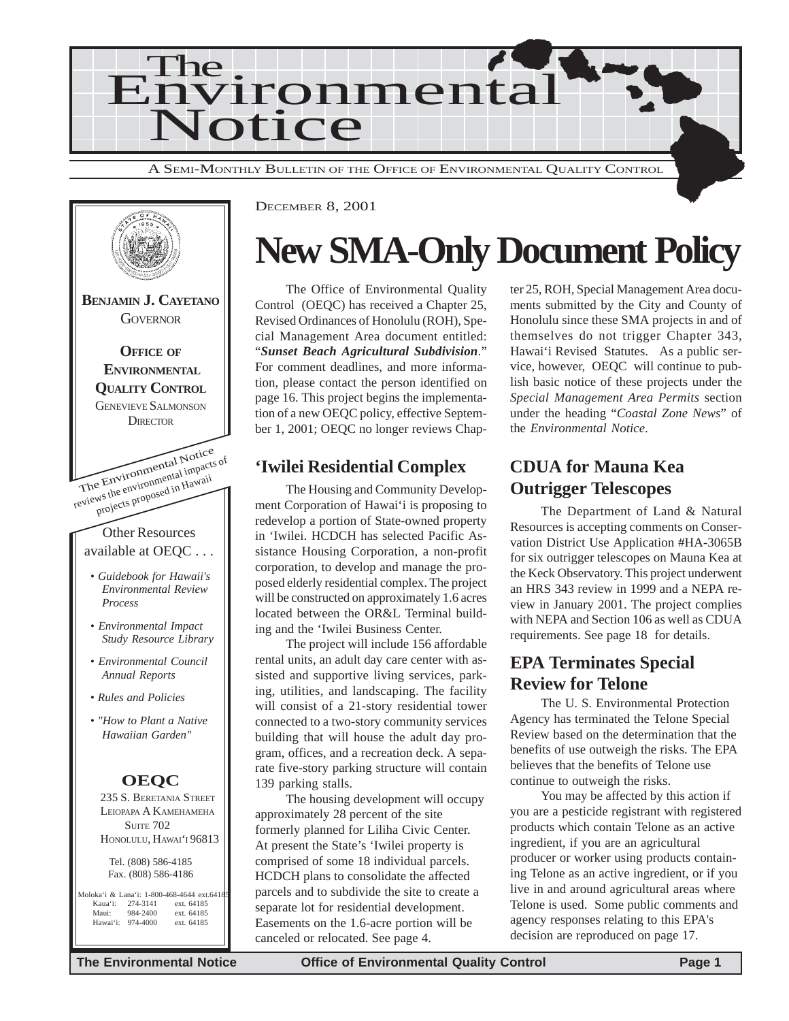



## **New SMA-Only Document Policy**

The Office of Environmental Quality Control (OEQC) has received a Chapter 25, Revised Ordinances of Honolulu (ROH), Special Management Area document entitled: "*Sunset Beach Agricultural Subdivision*." For comment deadlines, and more information, please contact the person identified on page 16. This project begins the implementation of a new OEQC policy, effective September 1, 2001; OEQC no longer reviews Chap-

## **'Iwilei Residential Complex CDUA for Mauna Kea**

The Housing and Community Development Corporation of Hawai'i is proposing to redevelop a portion of State-owned property in 'Iwilei. HCDCH has selected Pacific Assistance Housing Corporation, a non-profit corporation, to develop and manage the proposed elderly residential complex. The project will be constructed on approximately 1.6 acres located between the OR&L Terminal building and the 'Iwilei Business Center.

The project will include 156 affordable rental units, an adult day care center with assisted and supportive living services, parking, utilities, and landscaping. The facility will consist of a 21-story residential tower connected to a two-story community services building that will house the adult day program, offices, and a recreation deck. A separate five-story parking structure will contain 139 parking stalls.

The housing development will occupy approximately 28 percent of the site formerly planned for Liliha Civic Center. At present the State's 'Iwilei property is comprised of some 18 individual parcels. HCDCH plans to consolidate the affected parcels and to subdivide the site to create a separate lot for residential development. Easements on the 1.6-acre portion will be canceled or relocated. See page 4.

ter 25, ROH, Special Management Area documents submitted by the City and County of Honolulu since these SMA projects in and of themselves do not trigger Chapter 343, Hawai'i Revised Statutes. As a public service, however, OEQC will continue to publish basic notice of these projects under the *Special Management Area Permits* section under the heading "*Coastal Zone News*" of the *Environmental Notice*.

## **Outrigger Telescopes**

The Department of Land & Natural Resources is accepting comments on Conservation District Use Application #HA-3065B for six outrigger telescopes on Mauna Kea at the Keck Observatory. This project underwent an HRS 343 review in 1999 and a NEPA review in January 2001. The project complies with NEPA and Section 106 as well as CDUA requirements. See page 18 for details.

## **EPA Terminates Special Review for Telone**

The U. S. Environmental Protection Agency has terminated the Telone Special Review based on the determination that the benefits of use outweigh the risks. The EPA believes that the benefits of Telone use continue to outweigh the risks.

You may be affected by this action if you are a pesticide registrant with registered products which contain Telone as an active ingredient, if you are an agricultural producer or worker using products containing Telone as an active ingredient, or if you live in and around agricultural areas where Telone is used. Some public comments and agency responses relating to this EPA's decision are reproduced on page 17.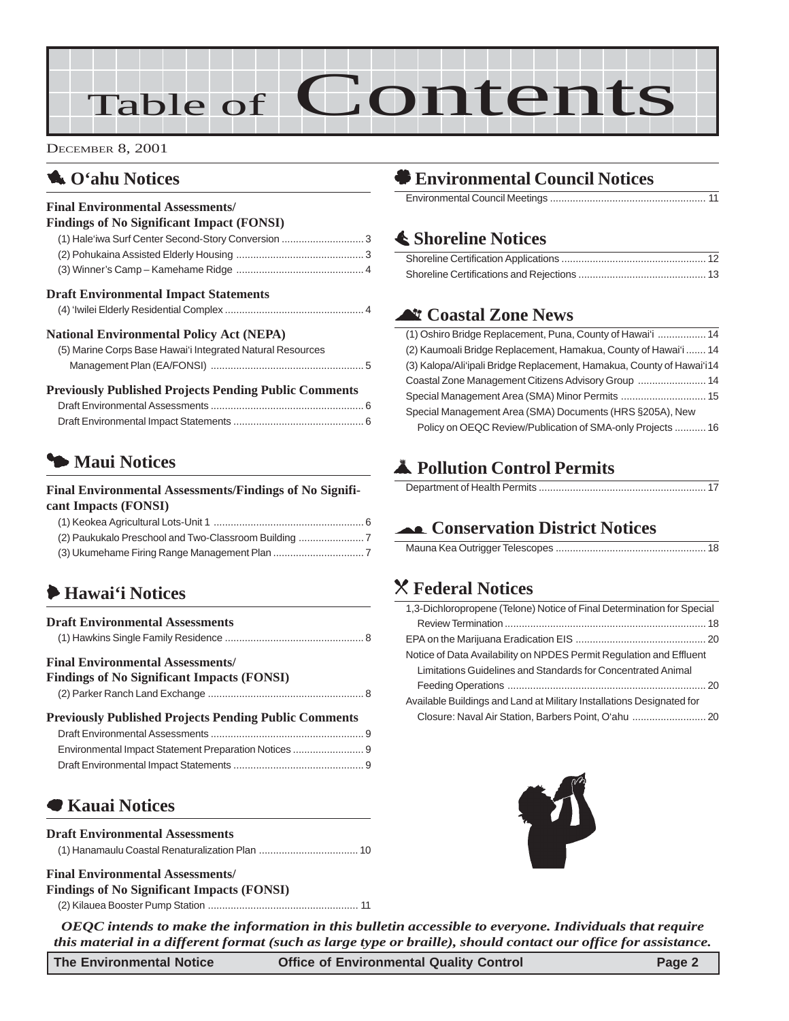# Table of Contents

DECEMBER 8, 2001

## **1.** O'ahu Notices

#### **Final Environmental Assessments/**

| <b>Findings of No Significant Impact (FONSI)</b> |  |
|--------------------------------------------------|--|
|                                                  |  |
|                                                  |  |
|                                                  |  |

#### **Draft Environmental Impact Statements**

|--|

#### **National Environmental Policy Act (NEPA)**

| (5) Marine Corps Base Hawai'i Integrated Natural Resources |  |
|------------------------------------------------------------|--|
|                                                            |  |

#### **Previously Published Projects Pending Public Comments**

## 3 **Maui Notices**

#### **Final Environmental Assessments/Findings of No Significant Impacts (FONSI)**

| (2) Paukukalo Preschool and Two-Classroom Building |  |
|----------------------------------------------------|--|
|                                                    |  |

## 6 **Hawai'i Notices**

| <b>Draft Environmental Assessments</b>                                                       |  |
|----------------------------------------------------------------------------------------------|--|
| <b>Final Environmental Assessments/</b><br><b>Findings of No Significant Impacts (FONSI)</b> |  |
| <b>Previously Published Projects Pending Public Comments</b>                                 |  |
|                                                                                              |  |
|                                                                                              |  |
|                                                                                              |  |
|                                                                                              |  |

### 7 **Kauai Notices**

#### **Draft Environmental Assessments**

#### **Final Environmental Assessments/ Findings of No Significant Impacts (FONSI)**

(2) Kilauea Booster Pump Station [..................................................... 11](#page-10-0)

## ' **Environmental Council Notices**

Environmental Council Meetings [....................................................... 11](#page-10-0)

### s **Shoreline Notices**

## ^ **Coastal Zone News**

| (1) Oshiro Bridge Replacement, Puna, County of Hawai'i  14            |
|-----------------------------------------------------------------------|
| (2) Kaumoali Bridge Replacement, Hamakua, County of Hawai'i  14       |
| (3) Kalopa/Ali'ipali Bridge Replacement, Hamakua, County of Hawai'i14 |
| Coastal Zone Management Citizens Advisory Group  14                   |
| Special Management Area (SMA) Minor Permits  15                       |
| Special Management Area (SMA) Documents (HRS §205A), New              |
| Policy on OEQC Review/Publication of SMA-only Projects  16            |

## V **Pollution Control Permits**

|--|

### ( **Conservation District Notices**

|--|

## ] **Federal Notices**

| 1,3-Dichloropropene (Telone) Notice of Final Determination for Special |
|------------------------------------------------------------------------|
|                                                                        |
|                                                                        |
| Notice of Data Availability on NPDES Permit Regulation and Effluent    |
| Limitations Guidelines and Standards for Concentrated Animal           |
|                                                                        |
| Available Buildings and Land at Military Installations Designated for  |
|                                                                        |



*OEQC intends to make the information in this bulletin accessible to everyone. Individuals that require this material in a different format (such as large type or braille), should contact our office for assistance.*

**The Environmental Notice Office of Environmental Quality Control Page 2**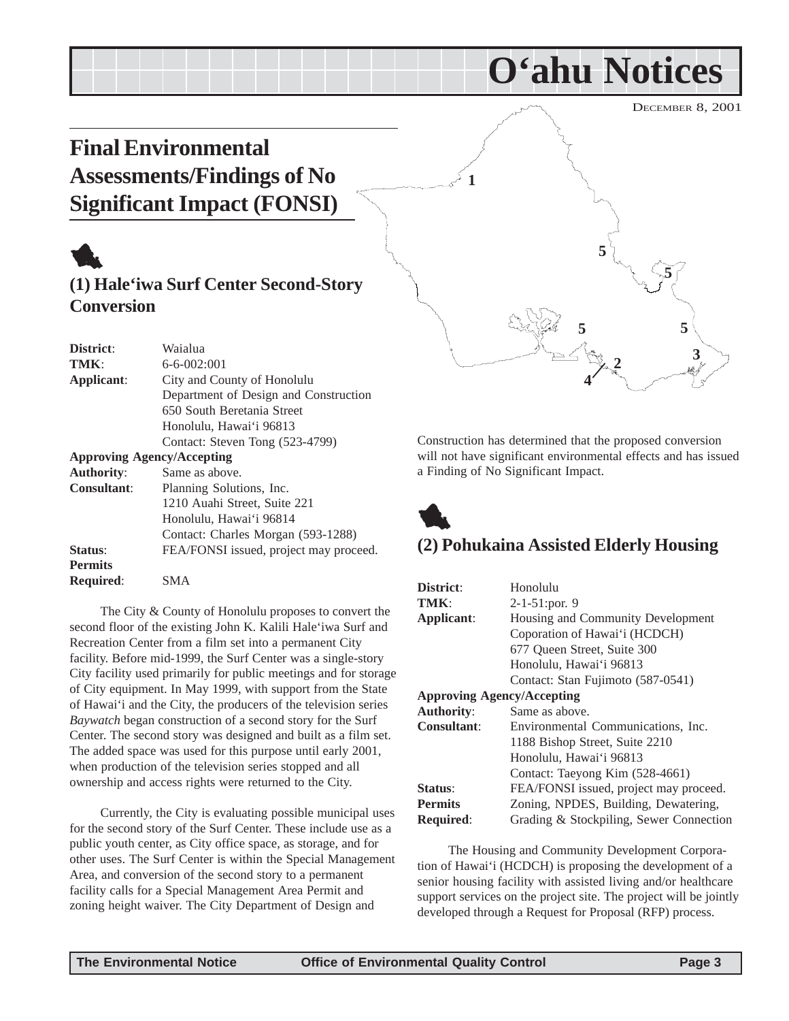**5**

**3**

**O'ahu Notices**

## <span id="page-2-0"></span>**Final Environmental Assessments/Findings of No Significant Impact (FONSI)**



### **(1) Hale'iwa Surf Center Second-Story Conversion**

| District:                         | Waialua                                |  |
|-----------------------------------|----------------------------------------|--|
| TMK:                              | $6 - 6 - 002:001$                      |  |
| Applicant:                        | City and County of Honolulu            |  |
|                                   | Department of Design and Construction  |  |
|                                   | 650 South Beretania Street             |  |
|                                   | Honolulu, Hawai'i 96813                |  |
|                                   | Contact: Steven Tong (523-4799)        |  |
| <b>Approving Agency/Accepting</b> |                                        |  |
| <b>Authority:</b>                 | Same as above.                         |  |
| <b>Consultant:</b>                | Planning Solutions, Inc.               |  |
|                                   | 1210 Auahi Street, Suite 221           |  |
|                                   | Honolulu, Hawai'i 96814                |  |
|                                   | Contact: Charles Morgan (593-1288)     |  |
| Status:                           | FEA/FONSI issued, project may proceed. |  |
| <b>Permits</b>                    |                                        |  |

**Required**: SMA

The City & County of Honolulu proposes to convert the second floor of the existing John K. Kalili Hale'iwa Surf and Recreation Center from a film set into a permanent City facility. Before mid-1999, the Surf Center was a single-story City facility used primarily for public meetings and for storage of City equipment. In May 1999, with support from the State of Hawai'i and the City, the producers of the television series *Baywatch* began construction of a second story for the Surf Center. The second story was designed and built as a film set. The added space was used for this purpose until early 2001, when production of the television series stopped and all ownership and access rights were returned to the City.

Currently, the City is evaluating possible municipal uses for the second story of the Surf Center. These include use as a public youth center, as City office space, as storage, and for other uses. The Surf Center is within the Special Management Area, and conversion of the second story to a permanent facility calls for a Special Management Area Permit and zoning height waiver. The City Department of Design and

Construction has determined that the proposed conversion will not have significant environmental effects and has issued a Finding of No Significant Impact.

**4**

**2**

**5 5**

**5**



**1**

## **(2) Pohukaina Assisted Elderly Housing**

| District:                         | Honolulu                                |  |
|-----------------------------------|-----------------------------------------|--|
| TMK:                              | $2-1-51$ : por. 9                       |  |
| Applicant:                        | Housing and Community Development       |  |
|                                   | Coporation of Hawai'i (HCDCH)           |  |
|                                   | 677 Queen Street, Suite 300             |  |
|                                   | Honolulu, Hawai'i 96813                 |  |
|                                   | Contact: Stan Fujimoto (587-0541)       |  |
| <b>Approving Agency/Accepting</b> |                                         |  |
| <b>Authority:</b>                 | Same as above.                          |  |
| <b>Consultant:</b>                | Environmental Communications, Inc.      |  |
|                                   | 1188 Bishop Street, Suite 2210          |  |
|                                   | Honolulu, Hawai'i 96813                 |  |
|                                   | Contact: Taeyong Kim (528-4661)         |  |
| Status:                           | FEA/FONSI issued, project may proceed.  |  |
| <b>Permits</b>                    | Zoning, NPDES, Building, Dewatering,    |  |
| Required:                         | Grading & Stockpiling, Sewer Connection |  |

The Housing and Community Development Corporation of Hawai'i (HCDCH) is proposing the development of a senior housing facility with assisted living and/or healthcare support services on the project site. The project will be jointly developed through a Request for Proposal (RFP) process.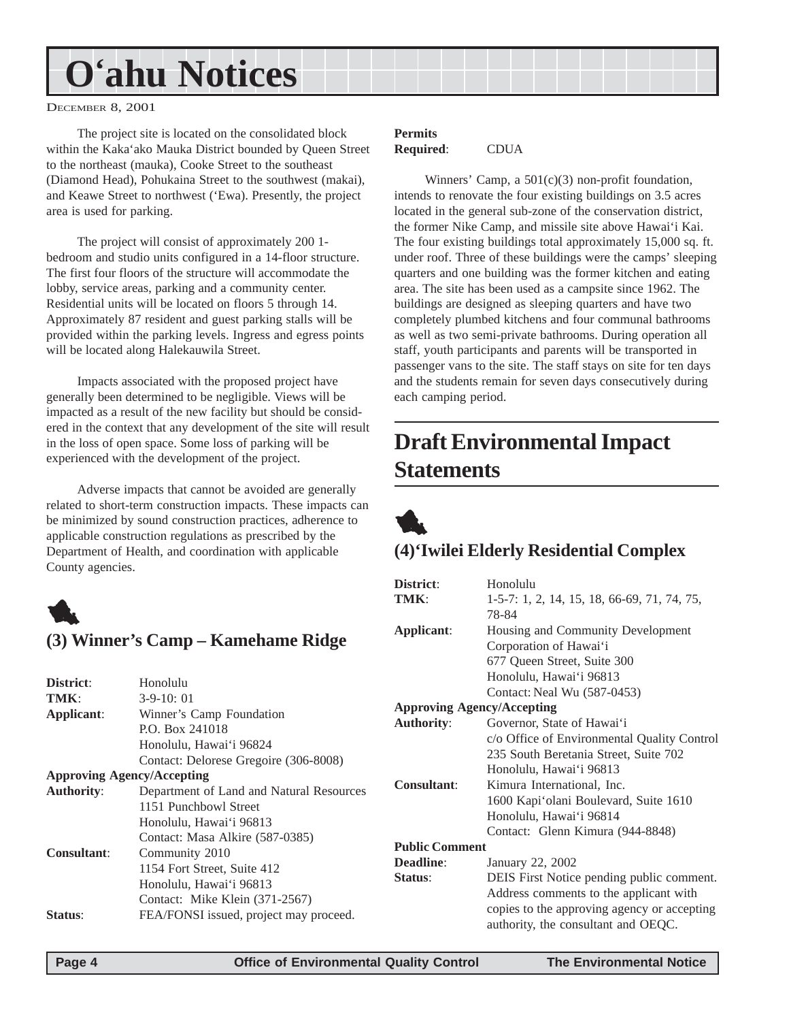## <span id="page-3-0"></span>**O'ahu Notices**

DECEMBER 8, 2001

The project site is located on the consolidated block within the Kaka'ako Mauka District bounded by Queen Street to the northeast (mauka), Cooke Street to the southeast (Diamond Head), Pohukaina Street to the southwest (makai), and Keawe Street to northwest ('Ewa). Presently, the project area is used for parking.

The project will consist of approximately 200 1 bedroom and studio units configured in a 14-floor structure. The first four floors of the structure will accommodate the lobby, service areas, parking and a community center. Residential units will be located on floors 5 through 14. Approximately 87 resident and guest parking stalls will be provided within the parking levels. Ingress and egress points will be located along Halekauwila Street.

Impacts associated with the proposed project have generally been determined to be negligible. Views will be impacted as a result of the new facility but should be considered in the context that any development of the site will result in the loss of open space. Some loss of parking will be experienced with the development of the project.

Adverse impacts that cannot be avoided are generally related to short-term construction impacts. These impacts can be minimized by sound construction practices, adherence to applicable construction regulations as prescribed by the Department of Health, and coordination with applicable County agencies.



### **(3) Winner's Camp – Kamehame Ridge**

| District:          | Honolulu                                 |                |
|--------------------|------------------------------------------|----------------|
| TMK:               | $3-9-10:01$                              |                |
| Applicant:         | Winner's Camp Foundation                 | Ap             |
|                    | P.O. Box 241018                          | Au             |
|                    | Honolulu, Hawai'i 96824                  |                |
|                    | Contact: Delorese Gregoire (306-8008)    |                |
|                    | <b>Approving Agency/Accepting</b>        |                |
| <b>Authority:</b>  | Department of Land and Natural Resources | Co             |
|                    | 1151 Punchbowl Street                    |                |
|                    | Honolulu, Hawai'i 96813                  |                |
|                    | Contact: Masa Alkire (587-0385)          |                |
| <b>Consultant:</b> | Community 2010                           | P <sub>u</sub> |
|                    | 1154 Fort Street, Suite 412              | De:            |
|                    | Honolulu, Hawai'i 96813                  | Sta            |
|                    | Contact: Mike Klein (371-2567)           |                |
| Status:            | FEA/FONSI issued, project may proceed.   |                |
|                    |                                          |                |

#### **Permits Required**: CDUA

Winners' Camp, a  $501(c)(3)$  non-profit foundation, intends to renovate the four existing buildings on 3.5 acres located in the general sub-zone of the conservation district, the former Nike Camp, and missile site above Hawai'i Kai. The four existing buildings total approximately 15,000 sq. ft. under roof. Three of these buildings were the camps' sleeping quarters and one building was the former kitchen and eating area. The site has been used as a campsite since 1962. The buildings are designed as sleeping quarters and have two completely plumbed kitchens and four communal bathrooms as well as two semi-private bathrooms. During operation all staff, youth participants and parents will be transported in passenger vans to the site. The staff stays on site for ten days and the students remain for seven days consecutively during each camping period.

## **Draft Environmental Impact Statements**



### **(4)'Iwilei Elderly Residential Complex**

| District:                         | Honolulu                                    |  |  |
|-----------------------------------|---------------------------------------------|--|--|
| TMK:                              | 1-5-7: 1, 2, 14, 15, 18, 66-69, 71, 74, 75, |  |  |
|                                   | 78-84                                       |  |  |
| Applicant:                        | Housing and Community Development           |  |  |
|                                   | Corporation of Hawai'i                      |  |  |
|                                   | 677 Queen Street, Suite 300                 |  |  |
|                                   | Honolulu, Hawai'i 96813                     |  |  |
|                                   | Contact: Neal Wu (587-0453)                 |  |  |
| <b>Approving Agency/Accepting</b> |                                             |  |  |
| <b>Authority:</b>                 | Governor, State of Hawai'i                  |  |  |
|                                   | c/o Office of Environmental Quality Control |  |  |
|                                   | 235 South Beretania Street, Suite 702       |  |  |
|                                   | Honolulu, Hawai'i 96813                     |  |  |
| <b>Consultant:</b>                | Kimura International, Inc.                  |  |  |
|                                   | 1600 Kapi'olani Boulevard, Suite 1610       |  |  |
|                                   | Honolulu, Hawai'i 96814                     |  |  |
|                                   | Contact: Glenn Kimura (944-8848)            |  |  |
| <b>Public Comment</b>             |                                             |  |  |
| Deadline:                         | January 22, 2002                            |  |  |
| Status:                           | DEIS First Notice pending public comment.   |  |  |
|                                   | Address comments to the applicant with      |  |  |
|                                   | copies to the approving agency or accepting |  |  |
|                                   | authority, the consultant and OEQC.         |  |  |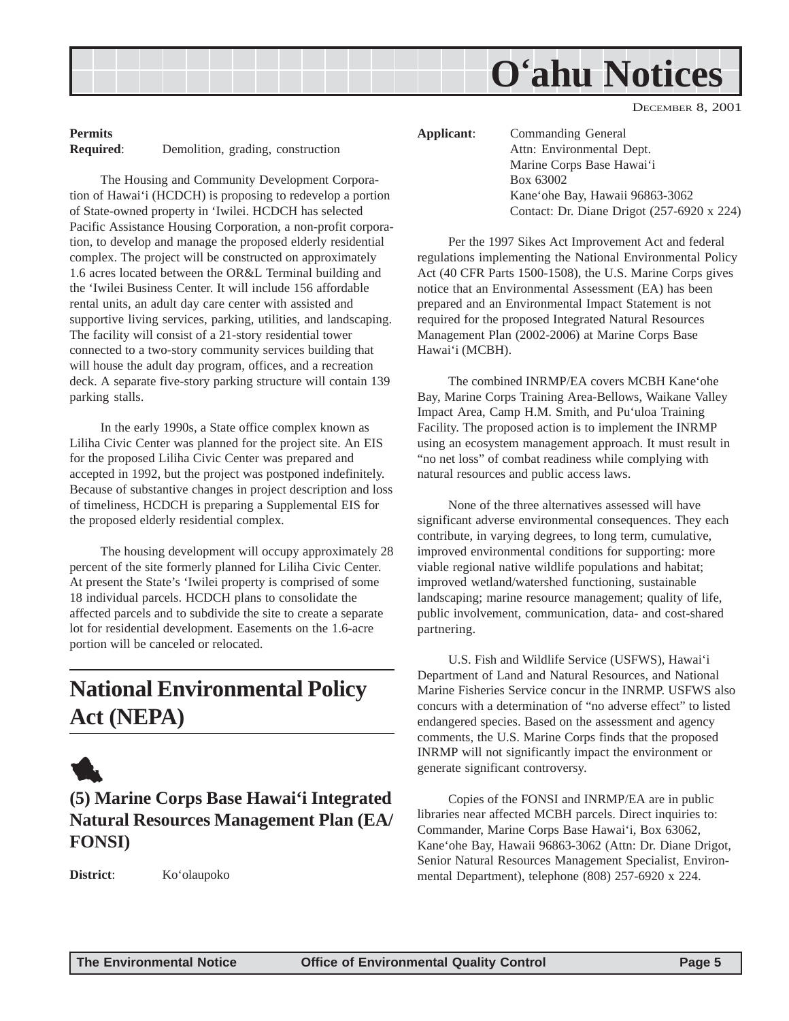

#### <span id="page-4-0"></span>**Permits Required**: Demolition, grading, construction

The Housing and Community Development Corporation of Hawai'i (HCDCH) is proposing to redevelop a portion of State-owned property in 'Iwilei. HCDCH has selected Pacific Assistance Housing Corporation, a non-profit corporation, to develop and manage the proposed elderly residential complex. The project will be constructed on approximately 1.6 acres located between the OR&L Terminal building and the 'Iwilei Business Center. It will include 156 affordable rental units, an adult day care center with assisted and supportive living services, parking, utilities, and landscaping. The facility will consist of a 21-story residential tower connected to a two-story community services building that will house the adult day program, offices, and a recreation deck. A separate five-story parking structure will contain 139 parking stalls.

In the early 1990s, a State office complex known as Liliha Civic Center was planned for the project site. An EIS for the proposed Liliha Civic Center was prepared and accepted in 1992, but the project was postponed indefinitely. Because of substantive changes in project description and loss of timeliness, HCDCH is preparing a Supplemental EIS for the proposed elderly residential complex.

The housing development will occupy approximately 28 percent of the site formerly planned for Liliha Civic Center. At present the State's 'Iwilei property is comprised of some 18 individual parcels. HCDCH plans to consolidate the affected parcels and to subdivide the site to create a separate lot for residential development. Easements on the 1.6-acre portion will be canceled or relocated.

## **National Environmental Policy Act (NEPA)**

## 1

**(5) Marine Corps Base Hawai'i Integrated Natural Resources Management Plan (EA/ FONSI)**

**District**: Ko'olaupoko

**Applicant**: Commanding General Attn: Environmental Dept. Marine Corps Base Hawai'i Box 63002 Kane'ohe Bay, Hawaii 96863-3062 Contact: Dr. Diane Drigot (257-6920 x 224)

Per the 1997 Sikes Act Improvement Act and federal regulations implementing the National Environmental Policy Act (40 CFR Parts 1500-1508), the U.S. Marine Corps gives notice that an Environmental Assessment (EA) has been prepared and an Environmental Impact Statement is not required for the proposed Integrated Natural Resources Management Plan (2002-2006) at Marine Corps Base Hawai'i (MCBH).

The combined INRMP/EA covers MCBH Kane'ohe Bay, Marine Corps Training Area-Bellows, Waikane Valley Impact Area, Camp H.M. Smith, and Pu'uloa Training Facility. The proposed action is to implement the INRMP using an ecosystem management approach. It must result in "no net loss" of combat readiness while complying with natural resources and public access laws.

None of the three alternatives assessed will have significant adverse environmental consequences. They each contribute, in varying degrees, to long term, cumulative, improved environmental conditions for supporting: more viable regional native wildlife populations and habitat; improved wetland/watershed functioning, sustainable landscaping; marine resource management; quality of life, public involvement, communication, data- and cost-shared partnering.

U.S. Fish and Wildlife Service (USFWS), Hawai'i Department of Land and Natural Resources, and National Marine Fisheries Service concur in the INRMP. USFWS also concurs with a determination of "no adverse effect" to listed endangered species. Based on the assessment and agency comments, the U.S. Marine Corps finds that the proposed INRMP will not significantly impact the environment or generate significant controversy.

Copies of the FONSI and INRMP/EA are in public libraries near affected MCBH parcels. Direct inquiries to: Commander, Marine Corps Base Hawai'i, Box 63062, Kane'ohe Bay, Hawaii 96863-3062 (Attn: Dr. Diane Drigot, Senior Natural Resources Management Specialist, Environmental Department), telephone (808) 257-6920 x 224.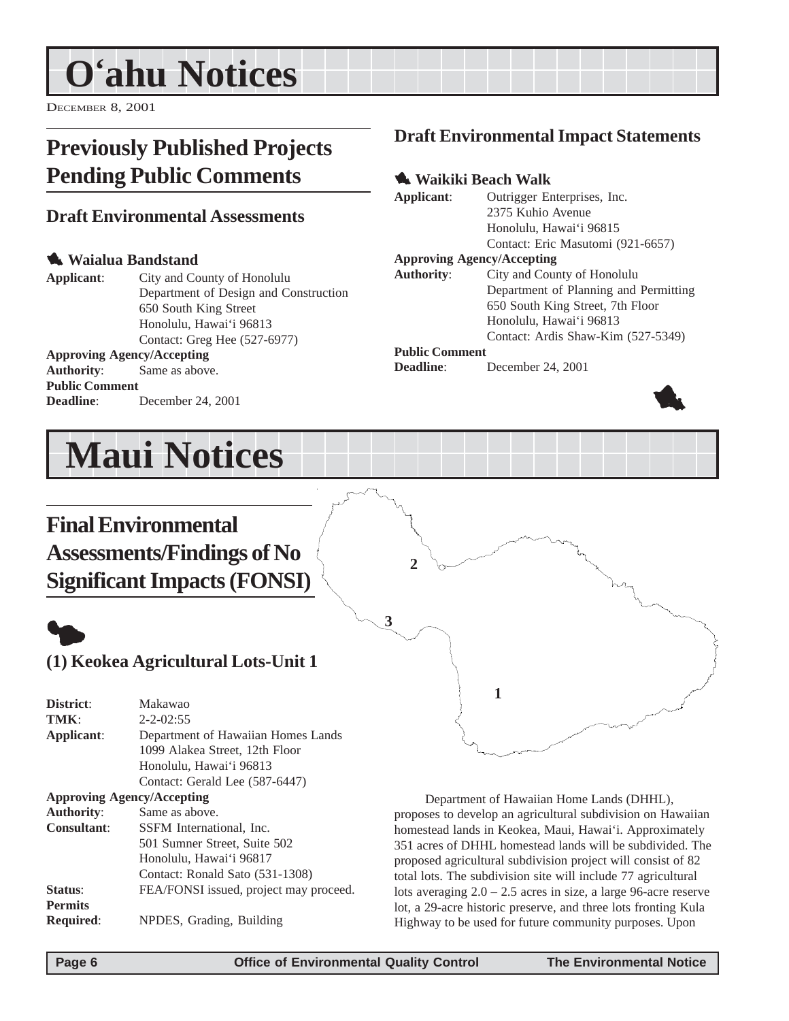## <span id="page-5-0"></span>**O'ahu Notices**

DECEMBER 8, 2001

## **Previously Published Projects Pending Public Comments**

### **Draft Environmental Assessments**

#### 1 **Waialua Bandstand**

**Applicant**: City and County of Honolulu Department of Design and Construction 650 South King Street Honolulu, Hawai'i 96813 Contact: Greg Hee (527-6977) **Approving Agency/Accepting**

#### **Authority**: Same as above.

**Public Comment Deadline**: December 24, 2001

## **Maui Notices**

## **Draft Environmental Impact Statements**

#### 1 **Waikiki Beach Walk**

**Applicant**: Outrigger Enterprises, Inc. 2375 Kuhio Avenue Honolulu, Hawai'i 96815 Contact: Eric Masutomi (921-6657)

#### **Approving Agency/Accepting**

**Authority**: City and County of Honolulu Department of Planning and Permitting 650 South King Street, 7th Floor Honolulu, Hawai'i 96813 Contact: Ardis Shaw-Kim (527-5349)

#### **Public Comment**

**2**

**Deadline**: December 24, 2001



## **Final Environmental Assessments/Findings of No Significant Impacts (FONSI)**

## $\bullet$ **(1) Keokea Agricultural Lots-Unit 1 District**: Makawao **1 3**

**TMK**: 2-2-02:55 **Applicant**: Department of Hawaiian Homes Lands 1099 Alakea Street, 12th Floor Honolulu, Hawai'i 96813 Contact: Gerald Lee (587-6447) **Approving Agency/Accepting Authority**: Same as above. **Consultant**: SSFM International, Inc. 501 Sumner Street, Suite 502 Honolulu, Hawai'i 96817 Contact: Ronald Sato (531-1308) **Status:** FEA/FONSI issued, project may proceed.

**Required**: NPDES, Grading, Building

Department of Hawaiian Home Lands (DHHL), proposes to develop an agricultural subdivision on Hawaiian homestead lands in Keokea, Maui, Hawai'i. Approximately 351 acres of DHHL homestead lands will be subdivided. The proposed agricultural subdivision project will consist of 82 total lots. The subdivision site will include 77 agricultural lots averaging 2.0 – 2.5 acres in size, a large 96-acre reserve lot, a 29-acre historic preserve, and three lots fronting Kula Highway to be used for future community purposes. Upon

**Permits**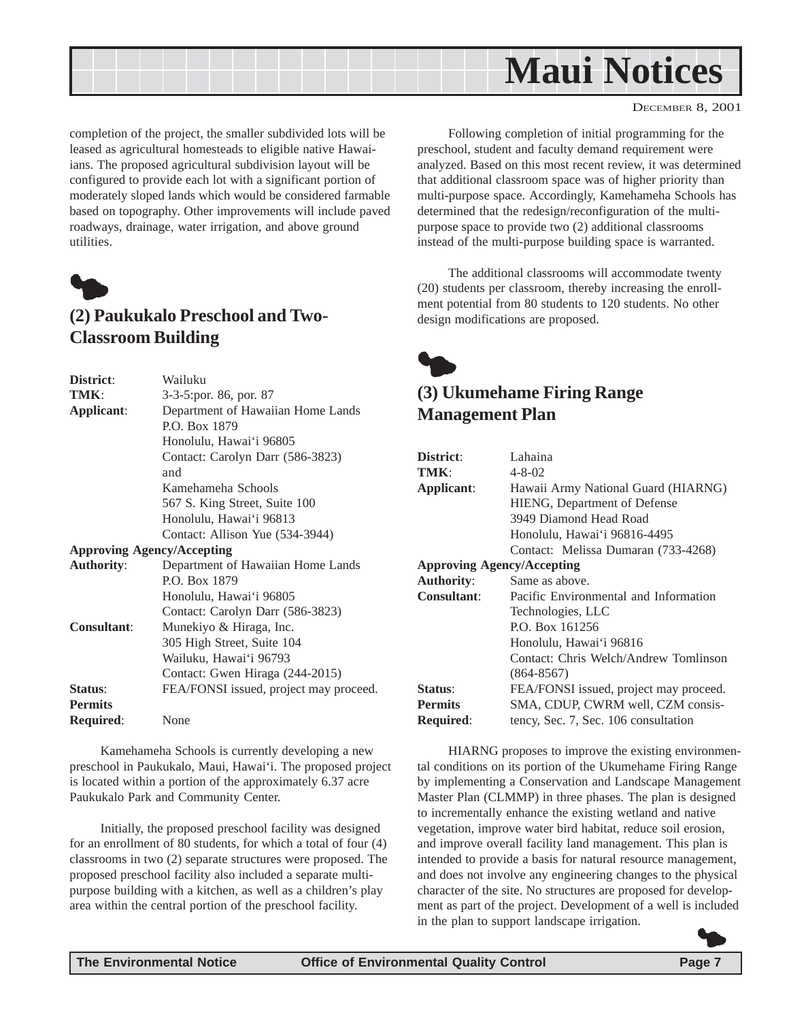<span id="page-6-0"></span>

completion of the project, the smaller subdivided lots will be leased as agricultural homesteads to eligible native Hawaiians. The proposed agricultural subdivision layout will be configured to provide each lot with a significant portion of moderately sloped lands which would be considered farmable based on topography. Other improvements will include paved roadways, drainage, water irrigation, and above ground utilities.



### **(2) Paukukalo Preschool and Two-Classroom Building**

| District:          | Wailuku                                |  |  |
|--------------------|----------------------------------------|--|--|
| TMK:               | 3-3-5: por. 86, por. 87                |  |  |
| Applicant:         | Department of Hawaiian Home Lands      |  |  |
|                    | P.O. Box 1879                          |  |  |
|                    | Honolulu, Hawai'i 96805                |  |  |
|                    | Contact: Carolyn Darr (586-3823)       |  |  |
|                    | and                                    |  |  |
|                    | Kamehameha Schools                     |  |  |
|                    | 567 S. King Street, Suite 100          |  |  |
|                    | Honolulu, Hawai'i 96813                |  |  |
|                    | Contact: Allison Yue (534-3944)        |  |  |
|                    | <b>Approving Agency/Accepting</b>      |  |  |
| <b>Authority:</b>  | Department of Hawaiian Home Lands      |  |  |
|                    | P.O. Box 1879                          |  |  |
|                    | Honolulu, Hawai'i 96805                |  |  |
|                    | Contact: Carolyn Darr (586-3823)       |  |  |
| <b>Consultant:</b> | Munekiyo & Hiraga, Inc.                |  |  |
|                    | 305 High Street, Suite 104             |  |  |
|                    | Wailuku, Hawai'i 96793                 |  |  |
|                    | Contact: Gwen Hiraga (244-2015)        |  |  |
| Status:            | FEA/FONSI issued, project may proceed. |  |  |
| <b>Permits</b>     |                                        |  |  |
| Required:          | None                                   |  |  |

Kamehameha Schools is currently developing a new preschool in Paukukalo, Maui, Hawai'i. The proposed project is located within a portion of the approximately 6.37 acre Paukukalo Park and Community Center.

Initially, the proposed preschool facility was designed for an enrollment of 80 students, for which a total of four (4) classrooms in two (2) separate structures were proposed. The proposed preschool facility also included a separate multipurpose building with a kitchen, as well as a children's play area within the central portion of the preschool facility.

Following completion of initial programming for the preschool, student and faculty demand requirement were analyzed. Based on this most recent review, it was determined that additional classroom space was of higher priority than multi-purpose space. Accordingly, Kamehameha Schools has determined that the redesign/reconfiguration of the multipurpose space to provide two (2) additional classrooms instead of the multi-purpose building space is warranted.

The additional classrooms will accommodate twenty (20) students per classroom, thereby increasing the enrollment potential from 80 students to 120 students. No other design modifications are proposed.



### **(3) Ukumehame Firing Range Management Plan**

| District:                         | Lahaina                                |  |  |  |
|-----------------------------------|----------------------------------------|--|--|--|
| TMK:                              | 4-8-02                                 |  |  |  |
| Applicant:                        | Hawaii Army National Guard (HIARNG)    |  |  |  |
|                                   | HIENG, Department of Defense           |  |  |  |
|                                   | 3949 Diamond Head Road                 |  |  |  |
|                                   | Honolulu, Hawai'i 96816-4495           |  |  |  |
|                                   | Contact: Melissa Dumaran (733-4268)    |  |  |  |
| <b>Approving Agency/Accepting</b> |                                        |  |  |  |
| <b>Authority:</b>                 | Same as above.                         |  |  |  |
| Consultant:                       | Pacific Environmental and Information  |  |  |  |
|                                   | Technologies, LLC                      |  |  |  |
|                                   | P.O. Box 161256                        |  |  |  |
|                                   | Honolulu, Hawai'i 96816                |  |  |  |
|                                   | Contact: Chris Welch/Andrew Tomlinson  |  |  |  |
|                                   | $(864 - 8567)$                         |  |  |  |
| Status:                           | FEA/FONSI issued, project may proceed. |  |  |  |
| <b>Permits</b>                    | SMA, CDUP, CWRM well, CZM consis-      |  |  |  |
| <b>Required:</b>                  | tency, Sec. 7, Sec. 106 consultation   |  |  |  |

HIARNG proposes to improve the existing environmental conditions on its portion of the Ukumehame Firing Range by implementing a Conservation and Landscape Management Master Plan (CLMMP) in three phases. The plan is designed to incrementally enhance the existing wetland and native vegetation, improve water bird habitat, reduce soil erosion, and improve overall facility land management. This plan is intended to provide a basis for natural resource management, and does not involve any engineering changes to the physical character of the site. No structures are proposed for development as part of the project. Development of a well is included in the plan to support landscape irrigation.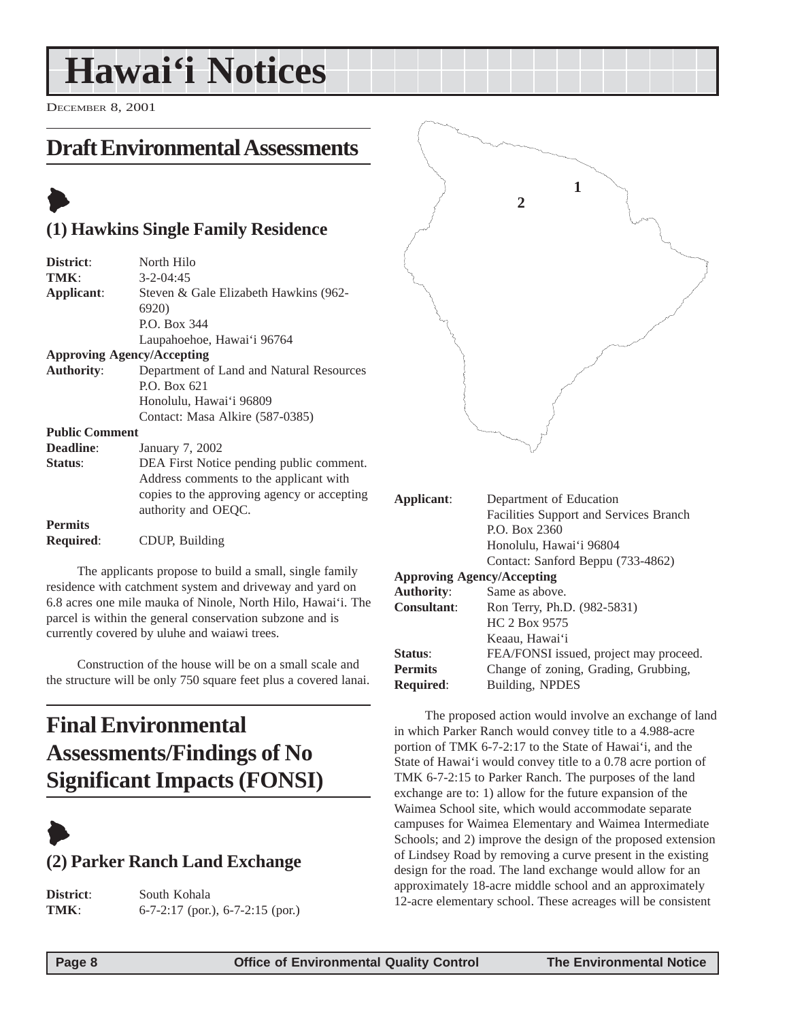## <span id="page-7-0"></span>**Hawai'i Notices**

DECEMBER 8, 2001

## **Draft Environmental Assessments**

## $\blacktriangleright$

### **(1) Hawkins Single Family Residence**

| District:             | North Hilo                                  |
|-----------------------|---------------------------------------------|
| TMK:                  | $3 - 2 - 04:45$                             |
| Applicant:            | Steven & Gale Elizabeth Hawkins (962-       |
|                       | 6920)                                       |
|                       | P.O. Box 344                                |
|                       | Laupahoehoe, Hawai'i 96764                  |
|                       | <b>Approving Agency/Accepting</b>           |
| <b>Authority:</b>     | Department of Land and Natural Resources    |
|                       | P.O. Box 621                                |
|                       | Honolulu, Hawai'i 96809                     |
|                       | Contact: Masa Alkire (587-0385)             |
| <b>Public Comment</b> |                                             |
| <b>Deadline:</b>      | January 7, 2002                             |
| Status:               | DEA First Notice pending public comment.    |
|                       | Address comments to the applicant with      |
|                       | copies to the approving agency or accepting |
|                       | authority and OEQC.                         |
| <b>Permits</b>        |                                             |
| <b>Required:</b>      | CDUP, Building                              |

The applicants propose to build a small, single family residence with catchment system and driveway and yard on 6.8 acres one mile mauka of Ninole, North Hilo, Hawai'i. The parcel is within the general conservation subzone and is currently covered by uluhe and waiawi trees.

Construction of the house will be on a small scale and the structure will be only 750 square feet plus a covered lanai.

## **Final Environmental Assessments/Findings of No Significant Impacts (FONSI)**



## **(2) Parker Ranch Land Exchange**

**District**: South Kohala **TMK**: 6-7-2:17 (por.), 6-7-2:15 (por.)



| Applicant:                        | Department of Education                       |  |
|-----------------------------------|-----------------------------------------------|--|
|                                   | <b>Facilities Support and Services Branch</b> |  |
|                                   | P.O. Box 2360                                 |  |
|                                   | Honolulu, Hawai'i 96804                       |  |
|                                   | Contact: Sanford Beppu (733-4862)             |  |
| <b>Approving Agency/Accepting</b> |                                               |  |
| <b>Authority:</b>                 | Same as above.                                |  |
| <b>Consultant:</b>                | Ron Terry, Ph.D. (982-5831)                   |  |
|                                   | HC 2 Box 9575                                 |  |
|                                   | Keaau, Hawai'i                                |  |
| Status:                           | FEA/FONSI issued, project may proceed.        |  |
| <b>Permits</b>                    | Change of zoning, Grading, Grubbing,          |  |
| <b>Required:</b>                  | Building, NPDES                               |  |
|                                   |                                               |  |

The proposed action would involve an exchange of land in which Parker Ranch would convey title to a 4.988-acre portion of TMK 6-7-2:17 to the State of Hawai'i, and the State of Hawai'i would convey title to a 0.78 acre portion of TMK 6-7-2:15 to Parker Ranch. The purposes of the land exchange are to: 1) allow for the future expansion of the Waimea School site, which would accommodate separate campuses for Waimea Elementary and Waimea Intermediate Schools; and 2) improve the design of the proposed extension of Lindsey Road by removing a curve present in the existing design for the road. The land exchange would allow for an approximately 18-acre middle school and an approximately 12-acre elementary school. These acreages will be consistent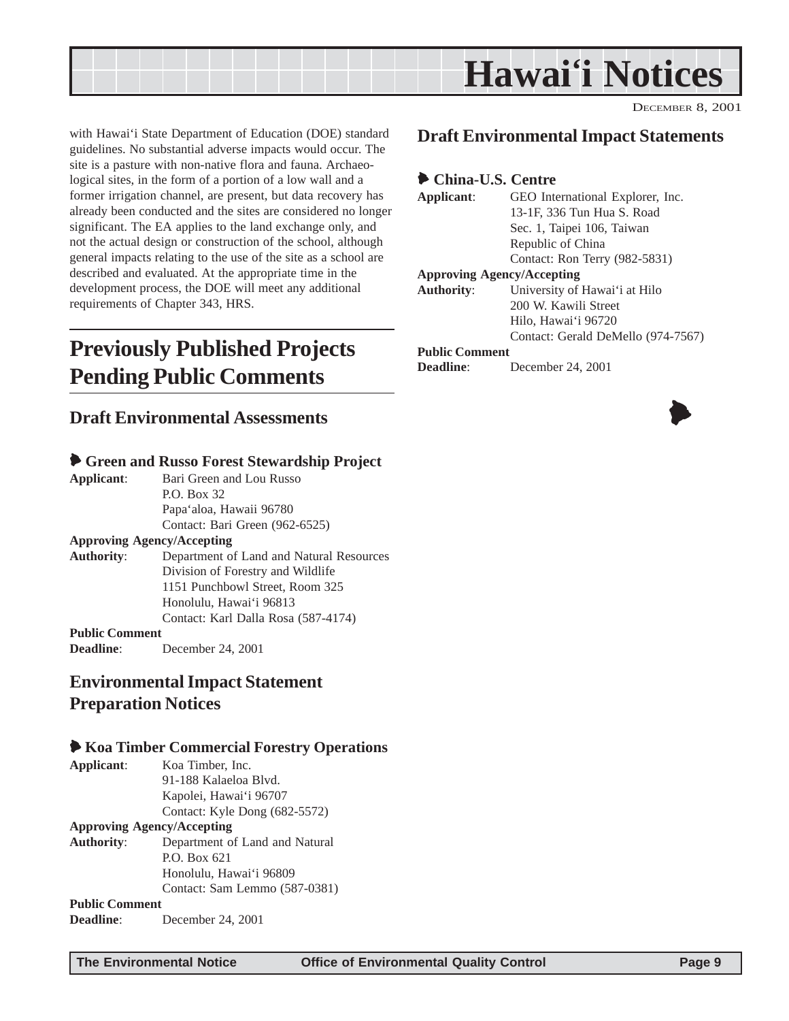<span id="page-8-0"></span>

with Hawai'i State Department of Education (DOE) standard guidelines. No substantial adverse impacts would occur. The site is a pasture with non-native flora and fauna. Archaeological sites, in the form of a portion of a low wall and a former irrigation channel, are present, but data recovery has already been conducted and the sites are considered no longer significant. The EA applies to the land exchange only, and not the actual design or construction of the school, although general impacts relating to the use of the site as a school are described and evaluated. At the appropriate time in the development process, the DOE will meet any additional requirements of Chapter 343, HRS.

## **Previously Published Projects Pending Public Comments**

### **Draft Environmental Assessments**

#### 6 **Green and Russo Forest Stewardship Project**

**Applicant**: Bari Green and Lou Russo P.O. Box 32 Papa'aloa, Hawaii 96780 Contact: Bari Green (962-6525) **Approving Agency/Accepting Authority**: Department of Land and Natural Resources

Division of Forestry and Wildlife 1151 Punchbowl Street, Room 325 Honolulu, Hawai'i 96813 Contact: Karl Dalla Rosa (587-4174)

#### **Public Comment**

**Deadline**: December 24, 2001

### **Environmental Impact Statement Preparation Notices**

#### 6 **Koa Timber Commercial Forestry Operations**

| Applicant:                        | Koa Timber, Inc.               |  |
|-----------------------------------|--------------------------------|--|
|                                   | 91-188 Kalaeloa Blyd.          |  |
|                                   | Kapolei, Hawai'i 96707         |  |
|                                   | Contact: Kyle Dong (682-5572)  |  |
| <b>Approving Agency/Accepting</b> |                                |  |
| <b>Authority:</b>                 | Department of Land and Natural |  |
|                                   | P.O. Box 621                   |  |
|                                   | Honolulu, Hawai'i 96809        |  |
|                                   | Contact: Sam Lemmo (587-0381)  |  |
| <b>Public Comment</b>             |                                |  |
| <b>Deadline:</b>                  | December 24, 2001              |  |

#### **Draft Environmental Impact Statements**

#### 6 **China-U.S. Centre**

**Applicant**: GEO International Explorer, Inc. 13-1F, 336 Tun Hua S. Road Sec. 1, Taipei 106, Taiwan Republic of China Contact: Ron Terry (982-5831) **Approving Agency/Accepting Authority**: University of Hawai'i at Hilo 200 W. Kawili Street Hilo, Hawai'i 96720 Contact: Gerald DeMello (974-7567) **Public Comment Deadline**: December 24, 2001

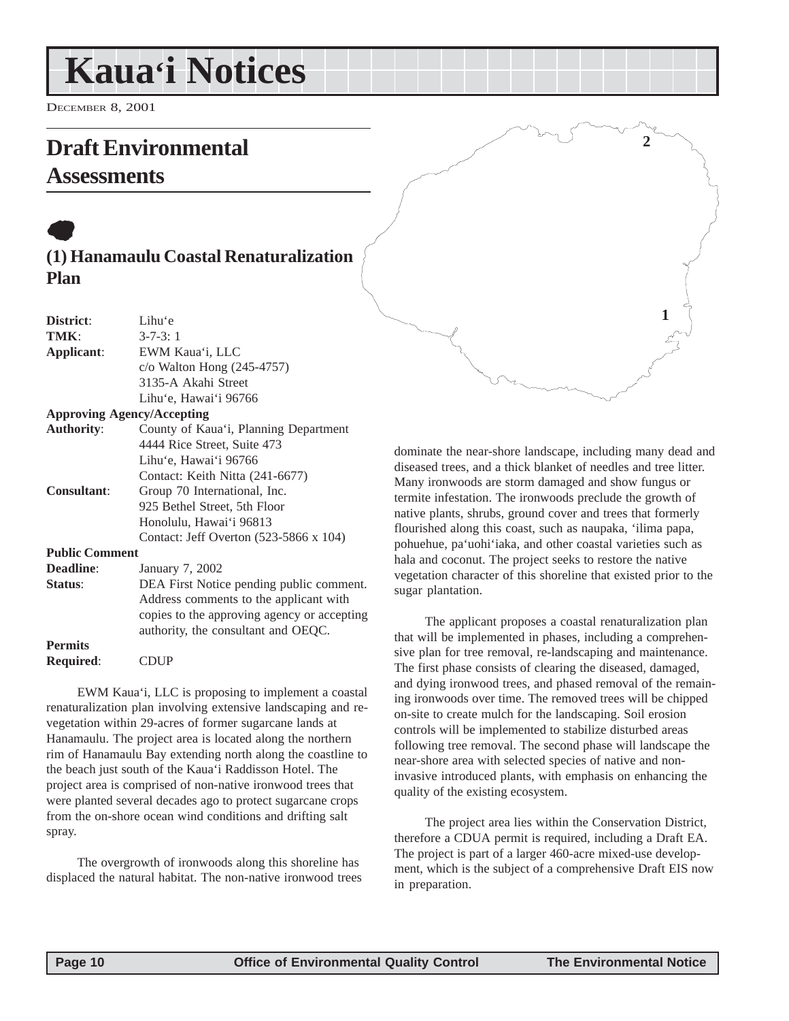## <span id="page-9-0"></span>**Kaua'i Notices**

DECEMBER 8, 2001

## **Draft Environmental**

## **Assessments**

## $\bullet$ **(1) Hanamaulu Coastal Renaturalization Plan**

| District:                         | Lihu'e                                      |  |  |
|-----------------------------------|---------------------------------------------|--|--|
| TMK:                              | $3 - 7 - 3$ : 1                             |  |  |
| Applicant:                        | EWM Kaua'i, LLC                             |  |  |
|                                   | $c$ /o Walton Hong (245-4757)               |  |  |
|                                   | 3135-A Akahi Street                         |  |  |
|                                   | Lihu'e, Hawai'i 96766                       |  |  |
| <b>Approving Agency/Accepting</b> |                                             |  |  |
| <b>Authority:</b>                 | County of Kaua'i, Planning Department       |  |  |
|                                   | 4444 Rice Street, Suite 473                 |  |  |
|                                   | Lihu'e, Hawai'i 96766                       |  |  |
|                                   | Contact: Keith Nitta (241-6677)             |  |  |
| <b>Consultant:</b>                | Group 70 International, Inc.                |  |  |
|                                   | 925 Bethel Street, 5th Floor                |  |  |
|                                   | Honolulu, Hawai'i 96813                     |  |  |
|                                   | Contact: Jeff Overton (523-5866 x 104)      |  |  |
| <b>Public Comment</b>             |                                             |  |  |
| <b>Deadline:</b>                  | January 7, 2002                             |  |  |
| Status:                           | DEA First Notice pending public comment.    |  |  |
|                                   | Address comments to the applicant with      |  |  |
|                                   | copies to the approving agency or accepting |  |  |
|                                   | authority, the consultant and OEQC.         |  |  |
| <b>Permits</b>                    |                                             |  |  |
| <b>Required:</b>                  | CDUP                                        |  |  |
|                                   |                                             |  |  |

EWM Kaua'i, LLC is proposing to implement a coastal renaturalization plan involving extensive landscaping and revegetation within 29-acres of former sugarcane lands at Hanamaulu. The project area is located along the northern rim of Hanamaulu Bay extending north along the coastline to the beach just south of the Kaua'i Raddisson Hotel. The project area is comprised of non-native ironwood trees that were planted several decades ago to protect sugarcane crops from the on-shore ocean wind conditions and drifting salt spray.

The overgrowth of ironwoods along this shoreline has displaced the natural habitat. The non-native ironwood trees dominate the near-shore landscape, including many dead and diseased trees, and a thick blanket of needles and tree litter. Many ironwoods are storm damaged and show fungus or termite infestation. The ironwoods preclude the growth of native plants, shrubs, ground cover and trees that formerly flourished along this coast, such as naupaka, 'ilima papa, pohuehue, pa'uohi'iaka, and other coastal varieties such as hala and coconut. The project seeks to restore the native vegetation character of this shoreline that existed prior to the sugar plantation.

**2**

**1**

The applicant proposes a coastal renaturalization plan that will be implemented in phases, including a comprehensive plan for tree removal, re-landscaping and maintenance. The first phase consists of clearing the diseased, damaged, and dying ironwood trees, and phased removal of the remaining ironwoods over time. The removed trees will be chipped on-site to create mulch for the landscaping. Soil erosion controls will be implemented to stabilize disturbed areas following tree removal. The second phase will landscape the near-shore area with selected species of native and noninvasive introduced plants, with emphasis on enhancing the quality of the existing ecosystem.

The project area lies within the Conservation District, therefore a CDUA permit is required, including a Draft EA. The project is part of a larger 460-acre mixed-use development, which is the subject of a comprehensive Draft EIS now in preparation.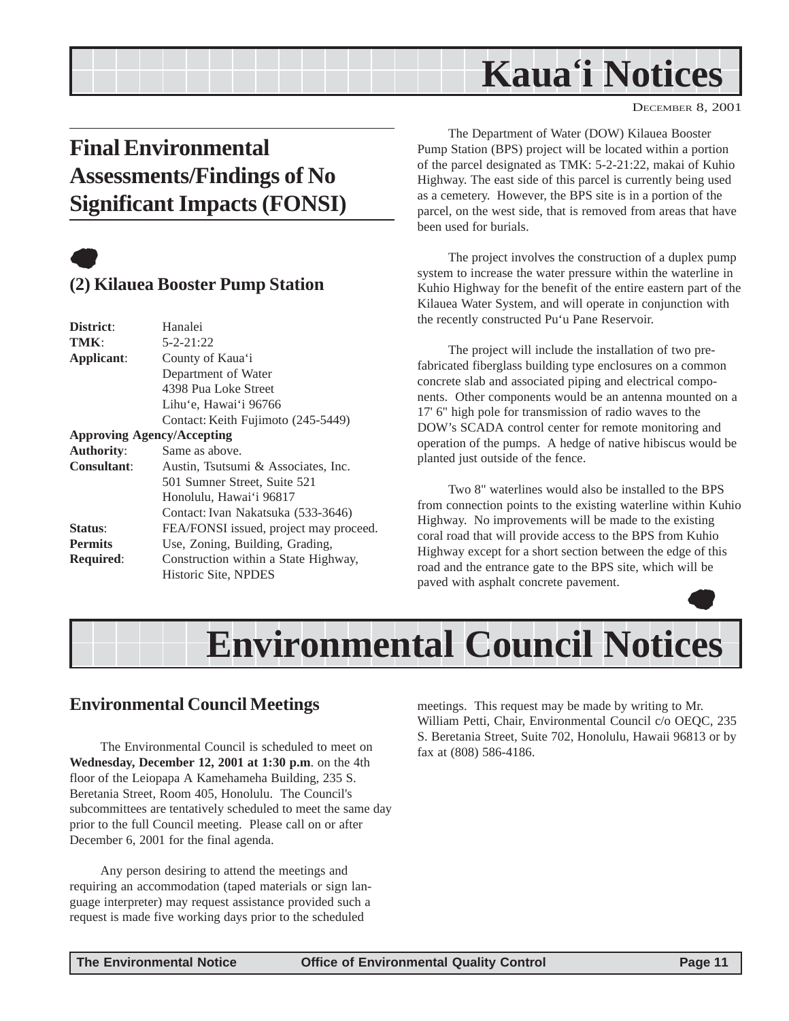## **Kaua'i Notices**

DECEMBER 8, 2001

## <span id="page-10-0"></span>**Final Environmental Assessments/Findings of No Significant Impacts (FONSI)**



### **(2) Kilauea Booster Pump Station**

| District:         | Hanalei                                |
|-------------------|----------------------------------------|
| TMK:              | $5 - 2 - 21:22$                        |
| Applicant:        | County of Kaua'i                       |
|                   | Department of Water                    |
|                   | 4398 Pua Loke Street                   |
|                   | Lihu'e, Hawai'i 96766                  |
|                   | Contact: Keith Fujimoto (245-5449)     |
|                   | <b>Approving Agency/Accepting</b>      |
| <b>Authority:</b> | Same as above.                         |
| Consultant:       | Austin, Tsutsumi & Associates, Inc.    |
|                   | 501 Sumner Street, Suite 521           |
|                   | Honolulu, Hawai'i 96817                |
|                   | Contact: Ivan Nakatsuka (533-3646)     |
| Status:           | FEA/FONSI issued, project may proceed. |
| <b>Permits</b>    | Use, Zoning, Building, Grading,        |
| <b>Required:</b>  | Construction within a State Highway,   |
|                   | Historic Site, NPDES                   |
|                   |                                        |

The Department of Water (DOW) Kilauea Booster Pump Station (BPS) project will be located within a portion of the parcel designated as TMK: 5-2-21:22, makai of Kuhio Highway. The east side of this parcel is currently being used as a cemetery. However, the BPS site is in a portion of the parcel, on the west side, that is removed from areas that have been used for burials.

The project involves the construction of a duplex pump system to increase the water pressure within the waterline in Kuhio Highway for the benefit of the entire eastern part of the Kilauea Water System, and will operate in conjunction with the recently constructed Pu'u Pane Reservoir.

The project will include the installation of two prefabricated fiberglass building type enclosures on a common concrete slab and associated piping and electrical components. Other components would be an antenna mounted on a 17' 6" high pole for transmission of radio waves to the DOW's SCADA control center for remote monitoring and operation of the pumps. A hedge of native hibiscus would be planted just outside of the fence.

Two 8" waterlines would also be installed to the BPS from connection points to the existing waterline within Kuhio Highway. No improvements will be made to the existing coral road that will provide access to the BPS from Kuhio Highway except for a short section between the edge of this road and the entrance gate to the BPS site, which will be paved with asphalt concrete pavement.  $\bullet$ 



### **Environmental Council Meetings**

The Environmental Council is scheduled to meet on **Wednesday, December 12, 2001 at 1:30 p.m**. on the 4th floor of the Leiopapa A Kamehameha Building, 235 S. Beretania Street, Room 405, Honolulu. The Council's subcommittees are tentatively scheduled to meet the same day prior to the full Council meeting. Please call on or after December 6, 2001 for the final agenda.

Any person desiring to attend the meetings and requiring an accommodation (taped materials or sign language interpreter) may request assistance provided such a request is made five working days prior to the scheduled

meetings. This request may be made by writing to Mr. William Petti, Chair, Environmental Council c/o OEQC, 235 S. Beretania Street, Suite 702, Honolulu, Hawaii 96813 or by fax at (808) 586-4186.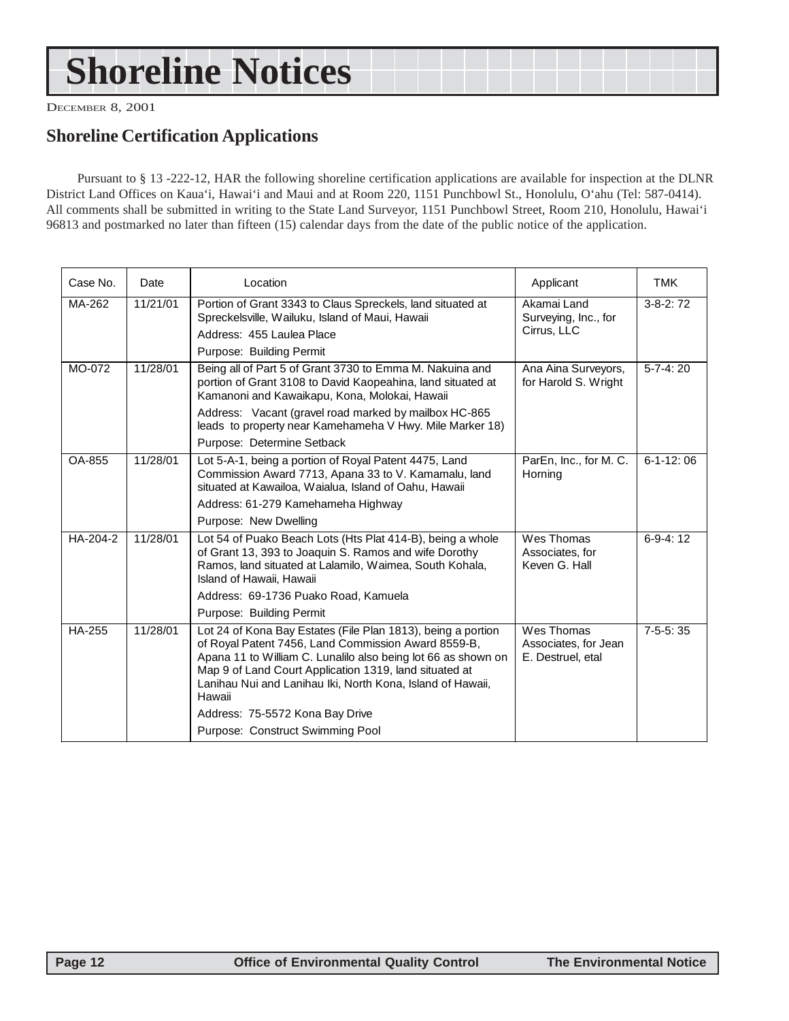## **Shoreline Notices**

DECEMBER 8, 2001

### **Shoreline Certification Applications**

Pursuant to § 13 -222-12, HAR the following shoreline certification applications are available for inspection at the DLNR District Land Offices on Kaua'i, Hawai'i and Maui and at Room 220, 1151 Punchbowl St., Honolulu, O'ahu (Tel: 587-0414). All comments shall be submitted in writing to the State Land Surveyor, 1151 Punchbowl Street, Room 210, Honolulu, Hawai'i 96813 and postmarked no later than fifteen (15) calendar days from the date of the public notice of the application.

| Case No.      | Date     | Location                                                                                                                                                                                                                                                                                                                                                                                      | Applicant                                               | <b>TMK</b>        |
|---------------|----------|-----------------------------------------------------------------------------------------------------------------------------------------------------------------------------------------------------------------------------------------------------------------------------------------------------------------------------------------------------------------------------------------------|---------------------------------------------------------|-------------------|
| MA-262        | 11/21/01 | Portion of Grant 3343 to Claus Spreckels, land situated at<br>Spreckelsville, Wailuku, Island of Maui, Hawaii<br>Address: 455 Laulea Place<br>Purpose: Building Permit                                                                                                                                                                                                                        | Akamai Land<br>Surveying, Inc., for<br>Cirrus, LLC      | $3-8-2:72$        |
| MO-072        | 11/28/01 | Being all of Part 5 of Grant 3730 to Emma M. Nakuina and<br>portion of Grant 3108 to David Kaopeahina, land situated at<br>Kamanoni and Kawaikapu, Kona, Molokai, Hawaii<br>Address: Vacant (gravel road marked by mailbox HC-865<br>leads to property near Kamehameha V Hwy. Mile Marker 18)<br>Purpose: Determine Setback                                                                   | Ana Aina Surveyors,<br>for Harold S. Wright             | $5 - 7 - 4:20$    |
| OA-855        | 11/28/01 | Lot 5-A-1, being a portion of Royal Patent 4475, Land<br>Commission Award 7713, Apana 33 to V. Kamamalu, land<br>situated at Kawailoa, Waialua, Island of Oahu, Hawaii<br>Address: 61-279 Kamehameha Highway<br>Purpose: New Dwelling                                                                                                                                                         | ParEn, Inc., for M. C.<br>Horning                       | $6 - 1 - 12$ : 06 |
| HA-204-2      | 11/28/01 | Lot 54 of Puako Beach Lots (Hts Plat 414-B), being a whole<br>of Grant 13, 393 to Joaquin S. Ramos and wife Dorothy<br>Ramos, land situated at Lalamilo, Waimea, South Kohala,<br>Island of Hawaii, Hawaii<br>Address: 69-1736 Puako Road, Kamuela<br>Purpose: Building Permit                                                                                                                | Wes Thomas<br>Associates, for<br>Keven G. Hall          | $6-9-4:12$        |
| <b>HA-255</b> | 11/28/01 | Lot 24 of Kona Bay Estates (File Plan 1813), being a portion<br>of Royal Patent 7456, Land Commission Award 8559-B,<br>Apana 11 to William C. Lunalilo also being lot 66 as shown on<br>Map 9 of Land Court Application 1319, land situated at<br>Lanihau Nui and Lanihau Iki, North Kona, Island of Hawaii,<br>Hawaii<br>Address: 75-5572 Kona Bay Drive<br>Purpose: Construct Swimming Pool | Wes Thomas<br>Associates, for Jean<br>E. Destruel, etal | $7-5-5:35$        |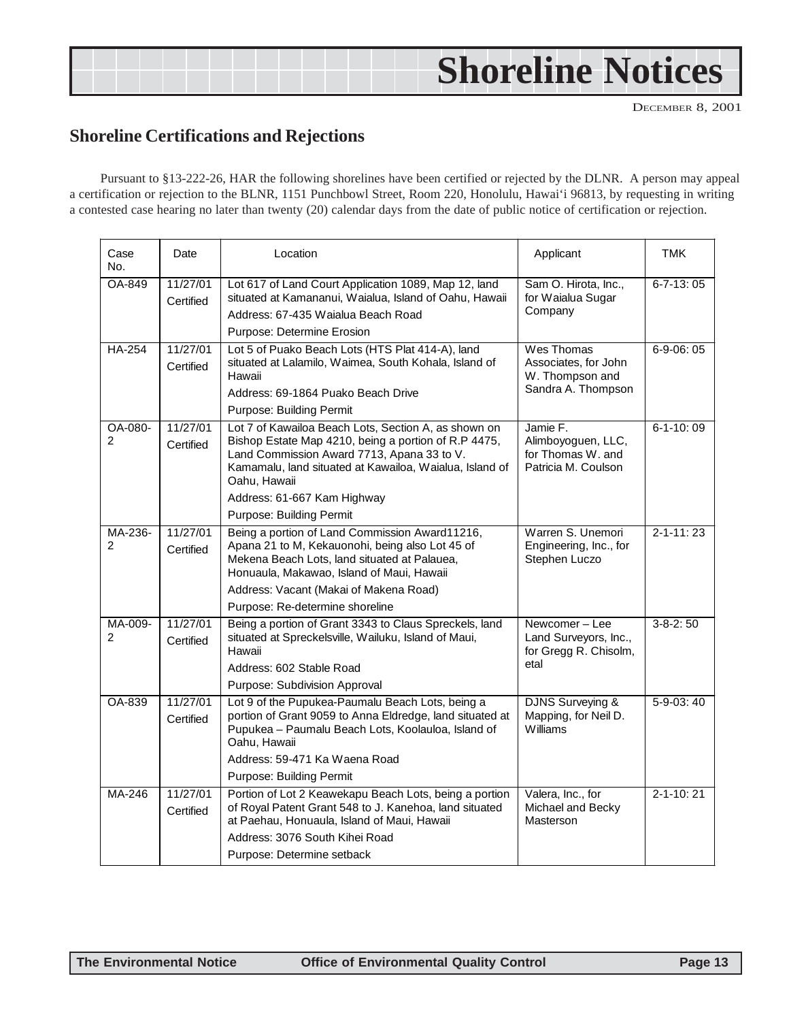## <span id="page-12-0"></span>**Shoreline Notices**

DECEMBER 8, 2001

### **Shoreline Certifications and Rejections**

Pursuant to §13-222-26, HAR the following shorelines have been certified or rejected by the DLNR. A person may appeal a certification or rejection to the BLNR, 1151 Punchbowl Street, Room 220, Honolulu, Hawai'i 96813, by requesting in writing a contested case hearing no later than twenty (20) calendar days from the date of public notice of certification or rejection.

| Case<br>No.              | Date                  | Applicant<br>Location                                                                                                                                                                                                                                                                            |                                                                            | <b>TMK</b>      |
|--------------------------|-----------------------|--------------------------------------------------------------------------------------------------------------------------------------------------------------------------------------------------------------------------------------------------------------------------------------------------|----------------------------------------------------------------------------|-----------------|
| OA-849                   | 11/27/01<br>Certified | Sam O. Hirota, Inc.,<br>Lot 617 of Land Court Application 1089, Map 12, land<br>situated at Kamananui, Waialua, Island of Oahu, Hawaii<br>for Waialua Sugar<br>Company<br>Address: 67-435 Waialua Beach Road<br>Purpose: Determine Erosion                                                       |                                                                            | $6 - 7 - 13:05$ |
| <b>HA-254</b>            | 11/27/01<br>Certified | Lot 5 of Puako Beach Lots (HTS Plat 414-A), land<br>Wes Thomas<br>situated at Lalamilo, Waimea, South Kohala, Island of<br>Associates, for John<br>W. Thompson and<br>Hawaii<br>Sandra A. Thompson<br>Address: 69-1864 Puako Beach Drive<br>Purpose: Building Permit                             |                                                                            | $6 - 9 - 06:05$ |
| OA-080-<br>$\mathcal{P}$ | 11/27/01<br>Certified | Lot 7 of Kawailoa Beach Lots, Section A, as shown on<br>Bishop Estate Map 4210, being a portion of R.P 4475,<br>Land Commission Award 7713, Apana 33 to V.<br>Kamamalu, land situated at Kawailoa, Waialua, Island of<br>Oahu, Hawaii<br>Address: 61-667 Kam Highway<br>Purpose: Building Permit | Jamie F.<br>Alimboyoguen, LLC,<br>for Thomas W, and<br>Patricia M. Coulson | $6 - 1 - 10:09$ |
| MA-236-<br>2             | 11/27/01<br>Certified | Being a portion of Land Commission Award11216,<br>Apana 21 to M, Kekauonohi, being also Lot 45 of<br>Mekena Beach Lots, land situated at Palauea,<br>Honuaula, Makawao, Island of Maui, Hawaii<br>Address: Vacant (Makai of Makena Road)<br>Purpose: Re-determine shoreline                      | Warren S. Unemori<br>Engineering, Inc., for<br>Stephen Luczo               | $2 - 1 - 11:23$ |
| MA-009-<br>2             | 11/27/01<br>Certified | Being a portion of Grant 3343 to Claus Spreckels, land<br>situated at Spreckelsville, Wailuku, Island of Maui,<br>Hawaii<br>Address: 602 Stable Road<br>Purpose: Subdivision Approval                                                                                                            | Newcomer-Lee<br>Land Surveyors, Inc.,<br>for Gregg R. Chisolm,<br>etal     | $3 - 8 - 2:50$  |
| OA-839                   | 11/27/01<br>Certified | Lot 9 of the Pupukea-Paumalu Beach Lots, being a<br>portion of Grant 9059 to Anna Eldredge, land situated at<br>Pupukea - Paumalu Beach Lots, Koolauloa, Island of<br>Oahu, Hawaii<br>Address: 59-471 Ka Waena Road<br>Purpose: Building Permit                                                  | <b>DJNS Surveying &amp;</b><br>Mapping, for Neil D.<br>Williams            | 5-9-03:40       |
| MA-246                   | 11/27/01<br>Certified | Portion of Lot 2 Keawekapu Beach Lots, being a portion<br>of Royal Patent Grant 548 to J. Kanehoa, land situated<br>at Paehau, Honuaula, Island of Maui, Hawaii<br>Address: 3076 South Kihei Road<br>Purpose: Determine setback                                                                  | Valera, Inc., for<br>Michael and Becky<br>Masterson                        | $2 - 1 - 10:21$ |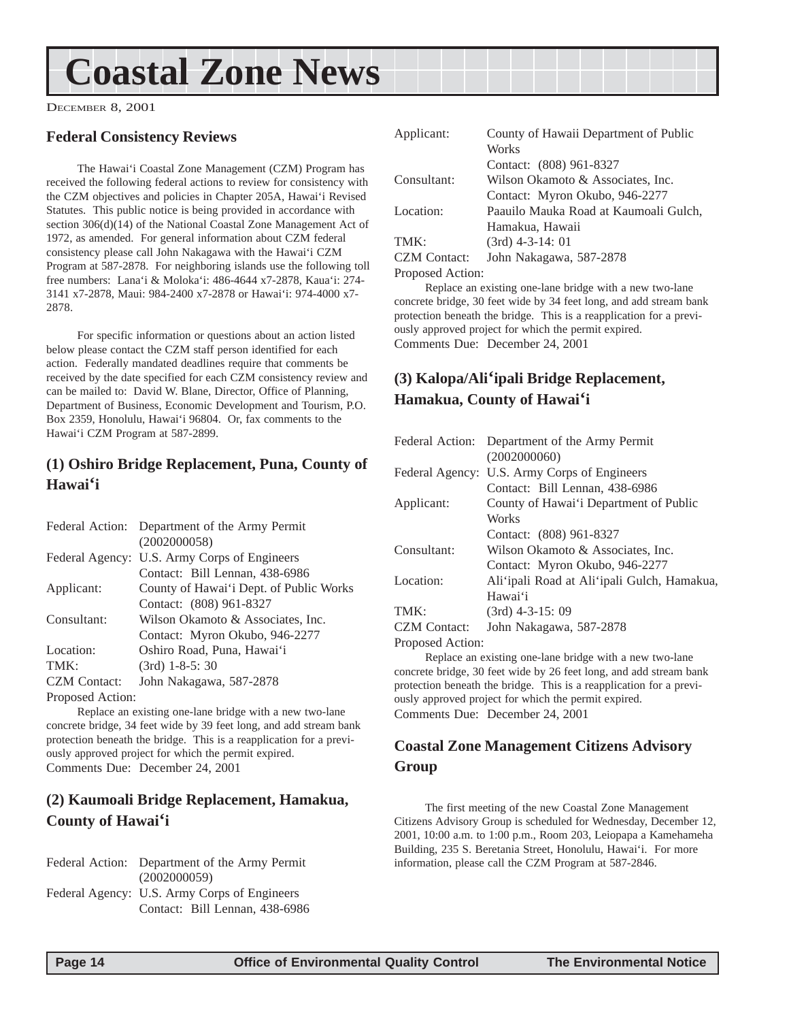## <span id="page-13-0"></span>**Coastal Zone News**

DECEMBER 8, 2001

#### **Federal Consistency Reviews**

The Hawai'i Coastal Zone Management (CZM) Program has received the following federal actions to review for consistency with the CZM objectives and policies in Chapter 205A, Hawai'i Revised Statutes. This public notice is being provided in accordance with section 306(d)(14) of the National Coastal Zone Management Act of 1972, as amended. For general information about CZM federal consistency please call John Nakagawa with the Hawai'i CZM Program at 587-2878. For neighboring islands use the following toll free numbers: Lana'i & Moloka'i: 486-4644 x7-2878, Kaua'i: 274- 3141 x7-2878, Maui: 984-2400 x7-2878 or Hawai'i: 974-4000 x7- 2878.

For specific information or questions about an action listed below please contact the CZM staff person identified for each action. Federally mandated deadlines require that comments be received by the date specified for each CZM consistency review and can be mailed to: David W. Blane, Director, Office of Planning, Department of Business, Economic Development and Tourism, P.O. Box 2359, Honolulu, Hawai'i 96804. Or, fax comments to the Hawai'i CZM Program at 587-2899.

#### **(1) Oshiro Bridge Replacement, Puna, County of Hawai'i**

|                     | Federal Action: Department of the Army Permit |
|---------------------|-----------------------------------------------|
|                     | (2002000058)                                  |
|                     | Federal Agency: U.S. Army Corps of Engineers  |
|                     | Contact: Bill Lennan, 438-6986                |
| Applicant:          | County of Hawai'i Dept. of Public Works       |
|                     | Contact: (808) 961-8327                       |
| Consultant:         | Wilson Okamoto & Associates, Inc.             |
|                     | Contact: Myron Okubo, 946-2277                |
| Location:           | Oshiro Road, Puna, Hawai'i                    |
| TMK:                | $(3rd)$ 1-8-5: 30                             |
| <b>CZM</b> Contact: | John Nakagawa, 587-2878                       |
| Proposed Action:    |                                               |

Replace an existing one-lane bridge with a new two-lane concrete bridge, 34 feet wide by 39 feet long, and add stream bank protection beneath the bridge. This is a reapplication for a previously approved project for which the permit expired. Comments Due: December 24, 2001

#### **(2) Kaumoali Bridge Replacement, Hamakua, County of Hawai'i**

Federal Action: Department of the Army Permit (2002000059) Federal Agency: U.S. Army Corps of Engineers Contact: Bill Lennan, 438-6986

| Applicant:          | County of Hawaii Department of Public |  |  |
|---------------------|---------------------------------------|--|--|
|                     | Works                                 |  |  |
|                     | Contact: (808) 961-8327               |  |  |
| Consultant:         | Wilson Okamoto & Associates, Inc.     |  |  |
|                     | Contact: Myron Okubo, 946-2277        |  |  |
| Location:           | Paauilo Mauka Road at Kaumoali Gulch, |  |  |
|                     | Hamakua, Hawaii                       |  |  |
| TMK:                | $(3rd)$ 4-3-14: 01                    |  |  |
| <b>CZM</b> Contact: | John Nakagawa, 587-2878               |  |  |
| Proposed Action:    |                                       |  |  |

Replace an existing one-lane bridge with a new two-lane concrete bridge, 30 feet wide by 34 feet long, and add stream bank protection beneath the bridge. This is a reapplication for a previously approved project for which the permit expired. Comments Due: December 24, 2001

### **(3) Kalopa/Ali'ipali Bridge Replacement, Hamakua, County of Hawai'i**

|                     | Federal Action: Department of the Army Permit |
|---------------------|-----------------------------------------------|
|                     | (2002000060)                                  |
|                     | Federal Agency: U.S. Army Corps of Engineers  |
|                     | Contact: Bill Lennan, 438-6986                |
| Applicant:          | County of Hawai'i Department of Public        |
|                     | Works                                         |
|                     | Contact: (808) 961-8327                       |
| Consultant:         | Wilson Okamoto & Associates, Inc.             |
|                     | Contact: Myron Okubo, 946-2277                |
| Location:           | Ali ipali Road at Ali ipali Gulch, Hamakua,   |
|                     | Hawai'i                                       |
| TMK:                | $(3rd)$ 4-3-15: 09                            |
| <b>CZM</b> Contact: | John Nakagawa, 587-2878                       |
|                     |                                               |

Proposed Action:

Replace an existing one-lane bridge with a new two-lane concrete bridge, 30 feet wide by 26 feet long, and add stream bank protection beneath the bridge. This is a reapplication for a previously approved project for which the permit expired. Comments Due: December 24, 2001

### **Coastal Zone Management Citizens Advisory Group**

The first meeting of the new Coastal Zone Management Citizens Advisory Group is scheduled for Wednesday, December 12, 2001, 10:00 a.m. to 1:00 p.m., Room 203, Leiopapa a Kamehameha Building, 235 S. Beretania Street, Honolulu, Hawai'i. For more information, please call the CZM Program at 587-2846.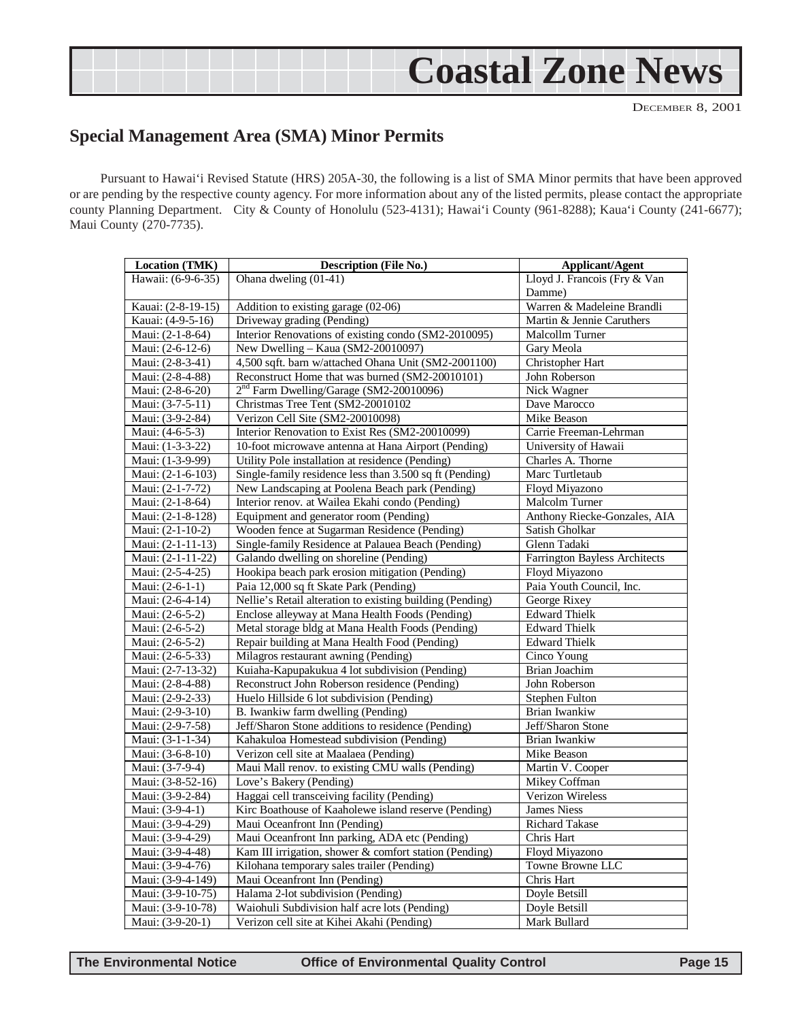## **Coastal Zone News**

DECEMBER 8, 2001

### <span id="page-14-0"></span>**Special Management Area (SMA) Minor Permits**

Pursuant to Hawai'i Revised Statute (HRS) 205A-30, the following is a list of SMA Minor permits that have been approved or are pending by the respective county agency. For more information about any of the listed permits, please contact the appropriate county Planning Department. City & County of Honolulu (523-4131); Hawai'i County (961-8288); Kaua'i County (241-6677); Maui County (270-7735).

| Location (TMK)     | <b>Description (File No.)</b>                             | <b>Applicant/Agent</b>        |  |
|--------------------|-----------------------------------------------------------|-------------------------------|--|
| Hawaii: (6-9-6-35) | Ohana dweling (01-41)                                     | Lloyd J. Francois (Fry & Van  |  |
|                    |                                                           | Damme)                        |  |
| Kauai: (2-8-19-15) | Addition to existing garage (02-06)                       | Warren & Madeleine Brandli    |  |
| Kauai: (4-9-5-16)  | Driveway grading (Pending)                                | Martin & Jennie Caruthers     |  |
| Maui: (2-1-8-64)   | Interior Renovations of existing condo (SM2-2010095)      | Malcollm Turner               |  |
| Maui: (2-6-12-6)   | New Dwelling - Kaua (SM2-20010097)                        | Gary Meola                    |  |
| Maui: (2-8-3-41)   | 4,500 sqft. barn w/attached Ohana Unit (SM2-2001100)      | Christopher Hart              |  |
| Maui: (2-8-4-88)   | Reconstruct Home that was burned (SM2-20010101)           | John Roberson                 |  |
| Maui: (2-8-6-20)   | $2nd$ Farm Dwelling/Garage (SM2-20010096)                 | Nick Wagner                   |  |
| Maui: (3-7-5-11)   | Christmas Tree Tent (SM2-20010102                         | Dave Marocco                  |  |
| Maui: (3-9-2-84)   | Verizon Cell Site (SM2-20010098)                          | Mike Beason                   |  |
| Maui: (4-6-5-3)    | Interior Renovation to Exist Res (SM2-20010099)           | Carrie Freeman-Lehrman        |  |
| Maui: (1-3-3-22)   | 10-foot microwave antenna at Hana Airport (Pending)       | University of Hawaii          |  |
| Maui: (1-3-9-99)   | Utility Pole installation at residence (Pending)          | Charles A. Thorne             |  |
| Maui: (2-1-6-103)  | Single-family residence less than 3.500 sq ft (Pending)   | Marc Turtletaub               |  |
| Maui: (2-1-7-72)   | New Landscaping at Poolena Beach park (Pending)           | Floyd Miyazono                |  |
| Maui: (2-1-8-64)   | Interior renov. at Wailea Ekahi condo (Pending)           | <b>Malcolm Turner</b>         |  |
| Maui: (2-1-8-128)  | Equipment and generator room (Pending)                    | Anthony Riecke-Gonzales, AIA  |  |
| Maui: (2-1-10-2)   | Wooden fence at Sugarman Residence (Pending)              | Satish Gholkar                |  |
| Maui: (2-1-11-13)  | Single-family Residence at Palauea Beach (Pending)        | Glenn Tadaki                  |  |
| Maui: (2-1-11-22)  | Galando dwelling on shoreline (Pending)                   | Farrington Bayless Architects |  |
| Maui: (2-5-4-25)   | Hookipa beach park erosion mitigation (Pending)           | Floyd Miyazono                |  |
| Maui: (2-6-1-1)    | Paia 12,000 sq ft Skate Park (Pending)                    | Paia Youth Council, Inc.      |  |
| Maui: (2-6-4-14)   | Nellie's Retail alteration to existing building (Pending) | George Rixey                  |  |
| Maui: (2-6-5-2)    | Enclose alleyway at Mana Health Foods (Pending)           | <b>Edward Thielk</b>          |  |
| Maui: (2-6-5-2)    | Metal storage bldg at Mana Health Foods (Pending)         | <b>Edward Thielk</b>          |  |
| Maui: (2-6-5-2)    | Repair building at Mana Health Food (Pending)             | <b>Edward Thielk</b>          |  |
| Maui: (2-6-5-33)   | Milagros restaurant awning (Pending)                      | Cinco Young                   |  |
| Maui: (2-7-13-32)  | Kuiaha-Kapupakukua 4 lot subdivision (Pending)            | Brian Joachim                 |  |
| Maui: (2-8-4-88)   | Reconstruct John Roberson residence (Pending)             | John Roberson                 |  |
| Maui: (2-9-2-33)   | Huelo Hillside 6 lot subdivision (Pending)                | Stephen Fulton                |  |
| Maui: (2-9-3-10)   | B. Iwankiw farm dwelling (Pending)                        | Brian Iwankiw                 |  |
| Maui: (2-9-7-58)   | Jeff/Sharon Stone additions to residence (Pending)        | Jeff/Sharon Stone             |  |
| Maui: (3-1-1-34)   | Kahakuloa Homestead subdivision (Pending)                 | Brian Iwankiw                 |  |
| Maui: (3-6-8-10)   | Verizon cell site at Maalaea (Pending)                    | <b>Mike Beason</b>            |  |
| Maui: (3-7-9-4)    | Maui Mall renov. to existing CMU walls (Pending)          | Martin V. Cooper              |  |
| Maui: (3-8-52-16)  | Love's Bakery (Pending)                                   | Mikey Coffman                 |  |
| Maui: (3-9-2-84)   | Haggai cell transceiving facility (Pending)               | Verizon Wireless              |  |
| Maui: (3-9-4-1)    | Kirc Boathouse of Kaaholewe island reserve (Pending)      | <b>James Niess</b>            |  |
| Maui: (3-9-4-29)   | Maui Oceanfront Inn (Pending)                             | <b>Richard Takase</b>         |  |
| Maui: (3-9-4-29)   | Maui Oceanfront Inn parking, ADA etc (Pending)            | Chris Hart                    |  |
| Maui: (3-9-4-48)   | Kam III irrigation, shower & comfort station (Pending)    | Floyd Miyazono                |  |
| Maui: (3-9-4-76)   | Kilohana temporary sales trailer (Pending)                | Towne Browne LLC              |  |
| Maui: (3-9-4-149)  | Maui Oceanfront Inn (Pending)                             | Chris Hart                    |  |
| Maui: (3-9-10-75)  | Halama 2-lot subdivision (Pending)                        | Doyle Betsill                 |  |
| Maui: (3-9-10-78)  | Waiohuli Subdivision half acre lots (Pending)             | Doyle Betsill                 |  |
| Maui: (3-9-20-1)   | Verizon cell site at Kihei Akahi (Pending)                | Mark Bullard                  |  |

**The Environmental Notice Office of Environmental Quality Control Page 15**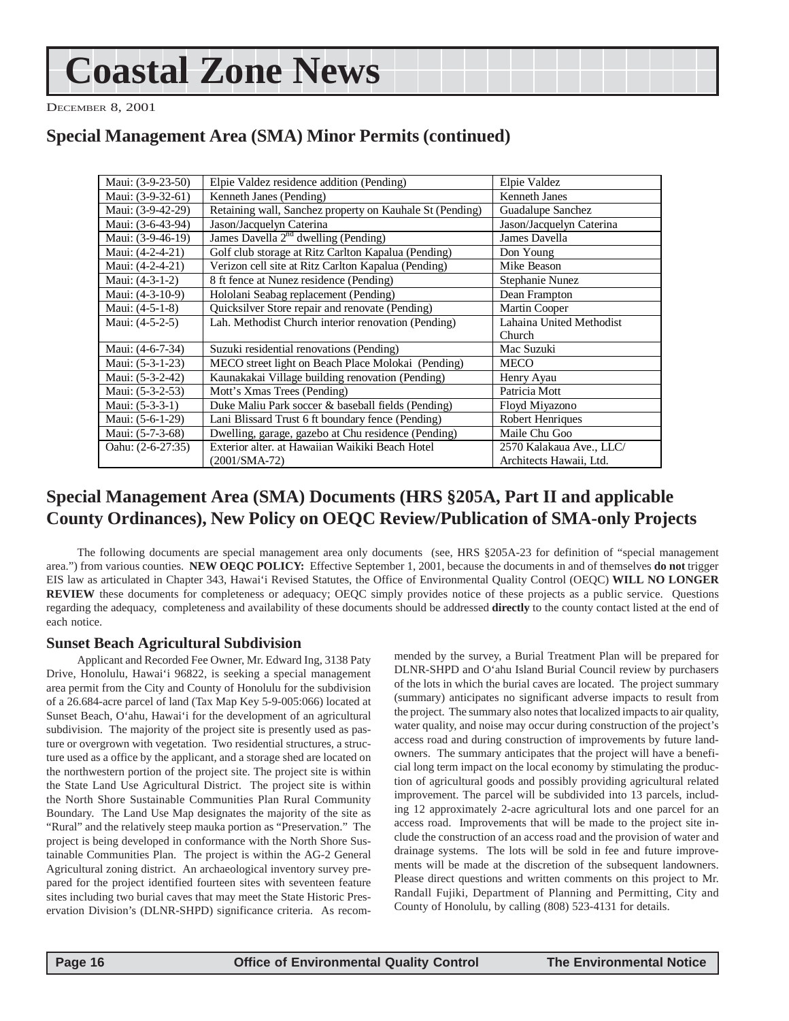## **Coastal Zone News**

DECEMBER 8, 2001

### **Special Management Area (SMA) Minor Permits (continued)**

| Maui: (3-9-23-50) | Elpie Valdez residence addition (Pending)                | Elpie Valdez             |  |
|-------------------|----------------------------------------------------------|--------------------------|--|
| Maui: (3-9-32-61) | Kenneth Janes (Pending)                                  | Kenneth Janes            |  |
| Maui: (3-9-42-29) | Retaining wall, Sanchez property on Kauhale St (Pending) | Guadalupe Sanchez        |  |
| Maui: (3-6-43-94) | Jason/Jacquelyn Caterina                                 | Jason/Jacquelyn Caterina |  |
| Maui: (3-9-46-19) | James Davella $2nd$ dwelling (Pending)                   | James Davella            |  |
| Maui: (4-2-4-21)  | Golf club storage at Ritz Carlton Kapalua (Pending)      | Don Young                |  |
| Maui: (4-2-4-21)  | Verizon cell site at Ritz Carlton Kapalua (Pending)      | Mike Beason              |  |
| Maui: (4-3-1-2)   | 8 ft fence at Nunez residence (Pending)                  | Stephanie Nunez          |  |
| Maui: (4-3-10-9)  | Hololani Seabag replacement (Pending)                    | Dean Frampton            |  |
| Maui: $(4-5-1-8)$ | Quicksilver Store repair and renovate (Pending)          | Martin Cooper            |  |
| Maui: (4-5-2-5)   | Lah. Methodist Church interior renovation (Pending)      | Lahaina United Methodist |  |
|                   |                                                          | Church                   |  |
| Maui: (4-6-7-34)  | Suzuki residential renovations (Pending)                 | Mac Suzuki               |  |
| Maui: (5-3-1-23)  | MECO street light on Beach Place Molokai (Pending)       | <b>MECO</b>              |  |
| Maui: (5-3-2-42)  | Kaunakakai Village building renovation (Pending)         | Henry Ayau               |  |
| Maui: (5-3-2-53)  | Mott's Xmas Trees (Pending)                              | Patricia Mott            |  |
| Maui: $(5-3-3-1)$ | Duke Maliu Park soccer & baseball fields (Pending)       | Floyd Miyazono           |  |
| Maui: (5-6-1-29)  | Lani Blissard Trust 6 ft boundary fence (Pending)        | Robert Henriques         |  |
| Maui: (5-7-3-68)  | Dwelling, garage, gazebo at Chu residence (Pending)      | Maile Chu Goo            |  |
| Oahu: (2-6-27:35) | Exterior alter, at Hawaiian Waikiki Beach Hotel          | 2570 Kalakaua Ave., LLC/ |  |
|                   | $(2001/SMA-72)$                                          | Architects Hawaii, Ltd.  |  |

### **Special Management Area (SMA) Documents (HRS §205A, Part II and applicable County Ordinances), New Policy on OEQC Review/Publication of SMA-only Projects**

The following documents are special management area only documents (see, HRS §205A-23 for definition of "special management area.") from various counties. **NEW OEQC POLICY:** Effective September 1, 2001, because the documents in and of themselves **do not** trigger EIS law as articulated in Chapter 343, Hawai'i Revised Statutes, the Office of Environmental Quality Control (OEQC) **WILL NO LONGER REVIEW** these documents for completeness or adequacy; OEQC simply provides notice of these projects as a public service. Questions regarding the adequacy, completeness and availability of these documents should be addressed **directly** to the county contact listed at the end of each notice.

#### **Sunset Beach Agricultural Subdivision**

Applicant and Recorded Fee Owner, Mr. Edward Ing, 3138 Paty Drive, Honolulu, Hawai'i 96822, is seeking a special management area permit from the City and County of Honolulu for the subdivision of a 26.684-acre parcel of land (Tax Map Key 5-9-005:066) located at Sunset Beach, O'ahu, Hawai'i for the development of an agricultural subdivision. The majority of the project site is presently used as pasture or overgrown with vegetation. Two residential structures, a structure used as a office by the applicant, and a storage shed are located on the northwestern portion of the project site. The project site is within the State Land Use Agricultural District. The project site is within the North Shore Sustainable Communities Plan Rural Community Boundary. The Land Use Map designates the majority of the site as "Rural" and the relatively steep mauka portion as "Preservation." The project is being developed in conformance with the North Shore Sustainable Communities Plan. The project is within the AG-2 General Agricultural zoning district. An archaeological inventory survey prepared for the project identified fourteen sites with seventeen feature sites including two burial caves that may meet the State Historic Preservation Division's (DLNR-SHPD) significance criteria. As recommended by the survey, a Burial Treatment Plan will be prepared for DLNR-SHPD and O'ahu Island Burial Council review by purchasers of the lots in which the burial caves are located. The project summary (summary) anticipates no significant adverse impacts to result from the project. The summary also notes that localized impacts to air quality, water quality, and noise may occur during construction of the project's access road and during construction of improvements by future landowners. The summary anticipates that the project will have a beneficial long term impact on the local economy by stimulating the production of agricultural goods and possibly providing agricultural related improvement. The parcel will be subdivided into 13 parcels, including 12 approximately 2-acre agricultural lots and one parcel for an access road. Improvements that will be made to the project site include the construction of an access road and the provision of water and drainage systems. The lots will be sold in fee and future improvements will be made at the discretion of the subsequent landowners. Please direct questions and written comments on this project to Mr. Randall Fujiki, Department of Planning and Permitting, City and County of Honolulu, by calling (808) 523-4131 for details.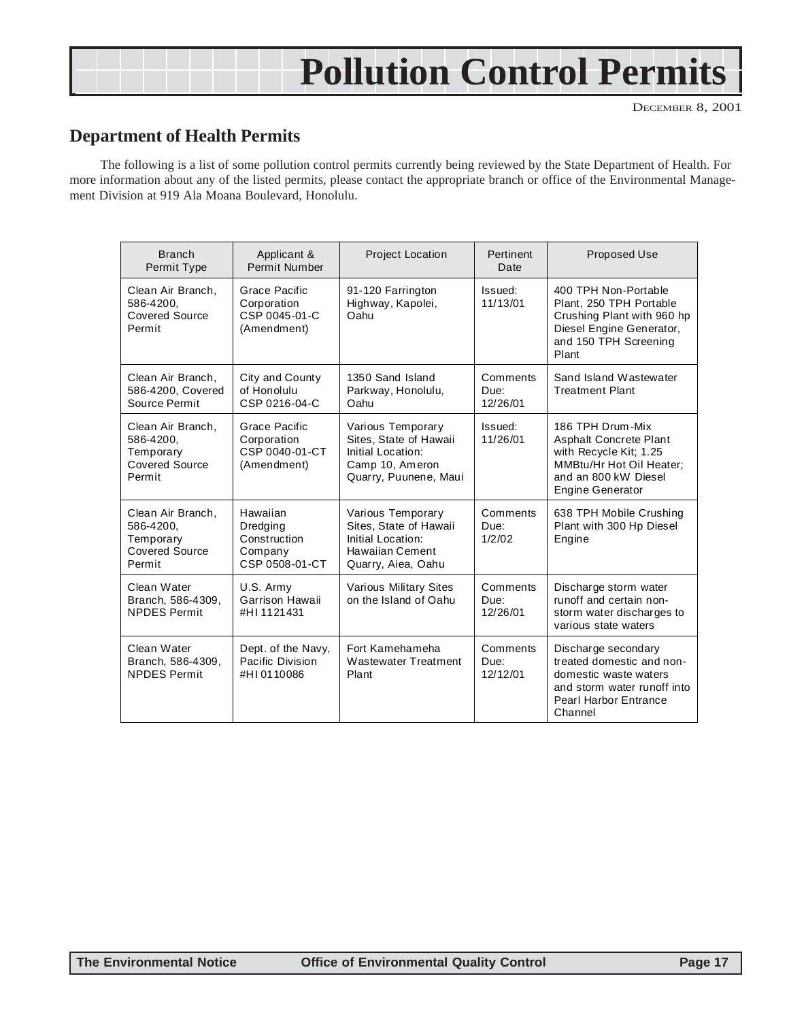## **Pollution Control Permits**

DECEMBER 8, 2001

## **Department of Health Permits**

The following is a list of some pollution control permits currently being reviewed by the State Department of Health. For more information about any of the listed permits, please contact the appropriate branch or office of the Environmental Management Division at 919 Ala Moana Boulevard, Honolulu.

| <b>Branch</b><br>Permit Type                                                   | Applicant &<br>Permit Number                                      | <b>Project Location</b>                                                                                      | Pertinent<br>Date            | <b>Proposed Use</b>                                                                                                                                        |
|--------------------------------------------------------------------------------|-------------------------------------------------------------------|--------------------------------------------------------------------------------------------------------------|------------------------------|------------------------------------------------------------------------------------------------------------------------------------------------------------|
| Clean Air Branch.<br>586-4200.<br>Covered Source<br>Permit                     | Grace Pacific<br>Corporation<br>CSP 0045-01-C<br>(Amendment)      | 91-120 Farrington<br>Highway, Kapolei,<br>Oahu                                                               | Issued:<br>11/13/01          | 400 TPH Non-Portable<br>Plant, 250 TPH Portable<br>Crushing Plant with 960 hp<br>Diesel Engine Generator,<br>and 150 TPH Screening<br>Plant                |
| Clean Air Branch,<br>586-4200, Covered<br>Source Permit                        | City and County<br>of Honolulu<br>CSP 0216-04-C                   | 1350 Sand Island<br>Parkway, Honolulu,<br>Oahu                                                               | Comments<br>Due:<br>12/26/01 | Sand Island Wastewater<br><b>Treatment Plant</b>                                                                                                           |
| Clean Air Branch,<br>586-4200.<br>Temporary<br><b>Covered Source</b><br>Permit | Grace Pacific<br>Corporation<br>CSP 0040-01-CT<br>(Amendment)     | Various Temporary<br>Sites. State of Hawaii<br>Initial Location:<br>Camp 10, Ameron<br>Quarry, Puunene, Maui | Issued:<br>11/26/01          | 186 TPH Drum-Mix<br><b>Asphalt Concrete Plant</b><br>with Recycle Kit; 1.25<br>MMBtu/Hr Hot Oil Heater:<br>and an 800 kW Diesel<br><b>Engine Generator</b> |
| Clean Air Branch,<br>586-4200,<br>Temporary<br>Covered Source<br>Permit        | Hawaiian<br>Dredging<br>Construction<br>Company<br>CSP 0508-01-CT | Various Temporary<br>Sites, State of Hawaii<br>Initial Location:<br>Hawaiian Cement<br>Quarry, Aiea, Oahu    | Comments<br>Due:<br>1/2/02   | 638 TPH Mobile Crushing<br>Plant with 300 Hp Diesel<br>Engine                                                                                              |
| Clean Water<br>Branch, 586-4309,<br><b>NPDES Permit</b>                        | U.S. Army<br>Garrison Hawaii<br>#HI 1121431                       | Various Military Sites<br>on the Island of Oahu                                                              | Comments<br>Due:<br>12/26/01 | Discharge storm water<br>runoff and certain non-<br>storm water discharges to<br>various state waters                                                      |
| Clean Water<br>Branch, 586-4309,<br><b>NPDES Permit</b>                        | Dept. of the Navy,<br>Pacific Division<br>#HI0110086              | Fort Kamehameha<br>Wastewater Treatment<br>Plant                                                             | Comments<br>Due:<br>12/12/01 | Discharge secondary<br>treated domestic and non-<br>domestic waste waters<br>and storm water runoff into<br>Pearl Harbor Entrance<br>Channel               |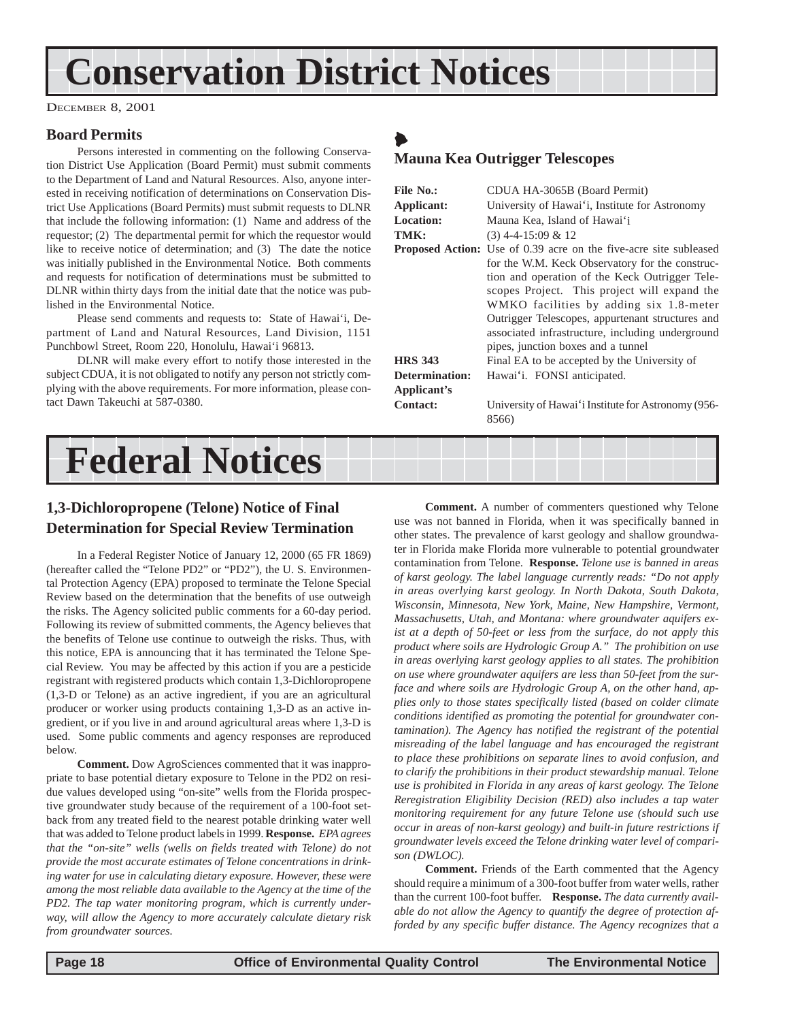## **Conservation District Notices**

DECEMBER 8, 2001

#### **Board Permits**

Persons interested in commenting on the following Conservation District Use Application (Board Permit) must submit comments to the Department of Land and Natural Resources. Also, anyone interested in receiving notification of determinations on Conservation District Use Applications (Board Permits) must submit requests to DLNR that include the following information: (1) Name and address of the requestor; (2) The departmental permit for which the requestor would like to receive notice of determination; and (3) The date the notice was initially published in the Environmental Notice. Both comments and requests for notification of determinations must be submitted to DLNR within thirty days from the initial date that the notice was published in the Environmental Notice.

Please send comments and requests to: State of Hawai'i, Department of Land and Natural Resources, Land Division, 1151 Punchbowl Street, Room 220, Honolulu, Hawai'i 96813.

DLNR will make every effort to notify those interested in the subject CDUA, it is not obligated to notify any person not strictly complying with the above requirements. For more information, please contact Dawn Takeuchi at 587-0380.

## **Federal Notices**

#### **1,3-Dichloropropene (Telone) Notice of Final Determination for Special Review Termination**

In a Federal Register Notice of January 12, 2000 (65 FR 1869) (hereafter called the "Telone PD2" or "PD2"), the U. S. Environmental Protection Agency (EPA) proposed to terminate the Telone Special Review based on the determination that the benefits of use outweigh the risks. The Agency solicited public comments for a 60-day period. Following its review of submitted comments, the Agency believes that the benefits of Telone use continue to outweigh the risks. Thus, with this notice, EPA is announcing that it has terminated the Telone Special Review. You may be affected by this action if you are a pesticide registrant with registered products which contain 1,3-Dichloropropene (1,3-D or Telone) as an active ingredient, if you are an agricultural producer or worker using products containing 1,3-D as an active ingredient, or if you live in and around agricultural areas where 1,3-D is used. Some public comments and agency responses are reproduced below.

**Comment.** Dow AgroSciences commented that it was inappropriate to base potential dietary exposure to Telone in the PD2 on residue values developed using "on-site" wells from the Florida prospective groundwater study because of the requirement of a 100-foot setback from any treated field to the nearest potable drinking water well that was added to Telone product labels in 1999. **Response.** *EPA agrees that the "on-site" wells (wells on fields treated with Telone) do not provide the most accurate estimates of Telone concentrations in drinking water for use in calculating dietary exposure. However, these were among the most reliable data available to the Agency at the time of the PD2. The tap water monitoring program, which is currently underway, will allow the Agency to more accurately calculate dietary risk from groundwater sources.*

**Comment.** A number of commenters questioned why Telone use was not banned in Florida, when it was specifically banned in other states. The prevalence of karst geology and shallow groundwater in Florida make Florida more vulnerable to potential groundwater contamination from Telone. **Response.** *Telone use is banned in areas of karst geology. The label language currently reads: "Do not apply in areas overlying karst geology. In North Dakota, South Dakota, Wisconsin, Minnesota, New York, Maine, New Hampshire, Vermont, Massachusetts, Utah, and Montana: where groundwater aquifers exist at a depth of 50-feet or less from the surface, do not apply this product where soils are Hydrologic Group A." The prohibition on use in areas overlying karst geology applies to all states. The prohibition on use where groundwater aquifers are less than 50-feet from the surface and where soils are Hydrologic Group A, on the other hand, applies only to those states specifically listed (based on colder climate conditions identified as promoting the potential for groundwater contamination). The Agency has notified the registrant of the potential misreading of the label language and has encouraged the registrant to place these prohibitions on separate lines to avoid confusion, and to clarify the prohibitions in their product stewardship manual. Telone use is prohibited in Florida in any areas of karst geology. The Telone Reregistration Eligibility Decision (RED) also includes a tap water monitoring requirement for any future Telone use (should such use occur in areas of non-karst geology) and built-in future restrictions if groundwater levels exceed the Telone drinking water level of comparison (DWLOC).*

**Comment.** Friends of the Earth commented that the Agency should require a minimum of a 300-foot buffer from water wells, rather than the current 100-foot buffer. **Response.** *The data currently available do not allow the Agency to quantify the degree of protection afforded by any specific buffer distance. The Agency recognizes that a*

## $\blacklozenge$

#### **Mauna Kea Outrigger Telescopes**

| File No.:<br>Applicant: | CDUA HA-3065B (Board Permit)<br>University of Hawai'i, Institute for Astronomy                                                                                                                                                                                                                                                             |
|-------------------------|--------------------------------------------------------------------------------------------------------------------------------------------------------------------------------------------------------------------------------------------------------------------------------------------------------------------------------------------|
| Location:               | Mauna Kea, Island of Hawai'i                                                                                                                                                                                                                                                                                                               |
| TMK:                    | $(3)$ 4-4-15:09 & 12                                                                                                                                                                                                                                                                                                                       |
|                         | <b>Proposed Action:</b> Use of 0.39 acre on the five-acre site subleased                                                                                                                                                                                                                                                                   |
|                         | for the W.M. Keck Observatory for the construc-<br>tion and operation of the Keck Outrigger Tele-<br>scopes Project. This project will expand the<br>WMKO facilities by adding six 1.8-meter<br>Outrigger Telescopes, appurtenant structures and<br>associated infrastructure, including underground<br>pipes, junction boxes and a tunnel |
| <b>HRS 343</b>          | Final EA to be accepted by the University of                                                                                                                                                                                                                                                                                               |
| Determination:          | Hawai'i. FONSI anticipated.                                                                                                                                                                                                                                                                                                                |
| Applicant's             |                                                                                                                                                                                                                                                                                                                                            |
| <b>Contact:</b>         | University of Hawai'i Institute for Astronomy (956-<br>8566)                                                                                                                                                                                                                                                                               |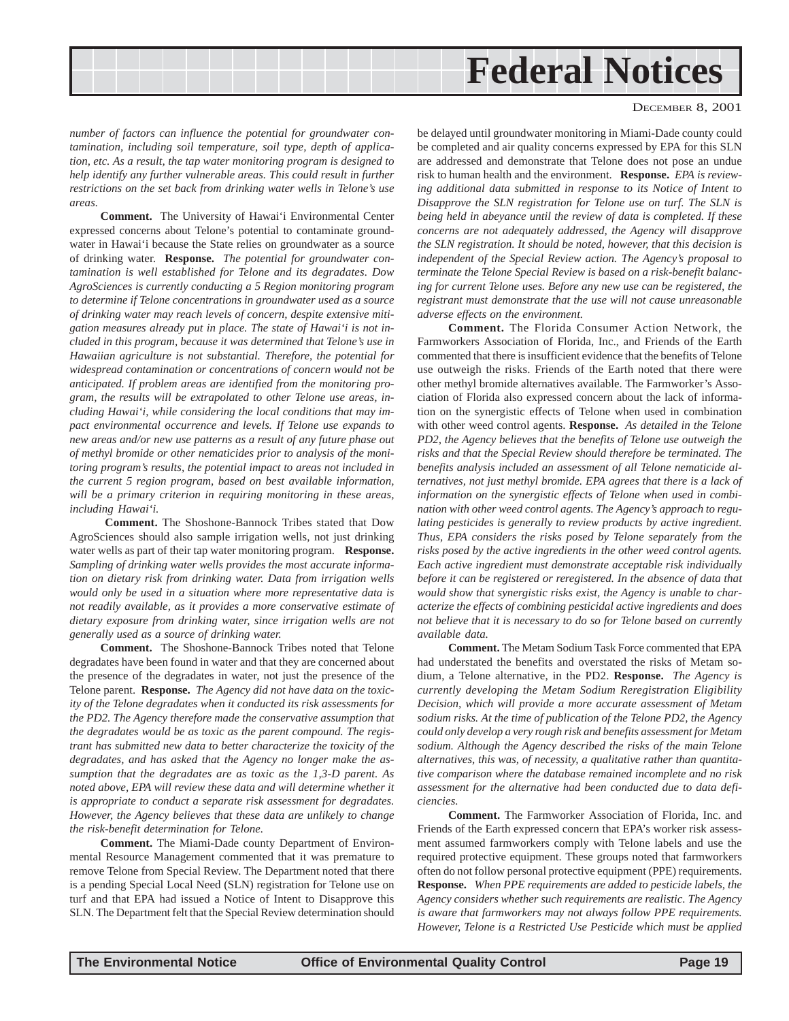## **Federal Notices**

#### DECEMBER 8, 2001

*number of factors can influence the potential for groundwater contamination, including soil temperature, soil type, depth of application, etc. As a result, the tap water monitoring program is designed to help identify any further vulnerable areas. This could result in further restrictions on the set back from drinking water wells in Telone's use areas.*

**Comment.** The University of Hawai'i Environmental Center expressed concerns about Telone's potential to contaminate groundwater in Hawai'i because the State relies on groundwater as a source of drinking water. **Response.** *The potential for groundwater contamination is well established for Telone and its degradates. Dow AgroSciences is currently conducting a 5 Region monitoring program to determine if Telone concentrations in groundwater used as a source of drinking water may reach levels of concern, despite extensive mitigation measures already put in place. The state of Hawai'i is not included in this program, because it was determined that Telone's use in Hawaiian agriculture is not substantial. Therefore, the potential for widespread contamination or concentrations of concern would not be anticipated. If problem areas are identified from the monitoring program, the results will be extrapolated to other Telone use areas, including Hawai'i, while considering the local conditions that may impact environmental occurrence and levels. If Telone use expands to new areas and/or new use patterns as a result of any future phase out of methyl bromide or other nematicides prior to analysis of the monitoring program's results, the potential impact to areas not included in the current 5 region program, based on best available information, will be a primary criterion in requiring monitoring in these areas, including Hawai'i.*

**Comment.** The Shoshone-Bannock Tribes stated that Dow AgroSciences should also sample irrigation wells, not just drinking water wells as part of their tap water monitoring program. **Response.** *Sampling of drinking water wells provides the most accurate information on dietary risk from drinking water. Data from irrigation wells would only be used in a situation where more representative data is not readily available, as it provides a more conservative estimate of dietary exposure from drinking water, since irrigation wells are not generally used as a source of drinking water.*

**Comment.** The Shoshone-Bannock Tribes noted that Telone degradates have been found in water and that they are concerned about the presence of the degradates in water, not just the presence of the Telone parent. **Response.** *The Agency did not have data on the toxicity of the Telone degradates when it conducted its risk assessments for the PD2. The Agency therefore made the conservative assumption that the degradates would be as toxic as the parent compound. The registrant has submitted new data to better characterize the toxicity of the degradates, and has asked that the Agency no longer make the assumption that the degradates are as toxic as the 1,3-D parent. As noted above, EPA will review these data and will determine whether it is appropriate to conduct a separate risk assessment for degradates. However, the Agency believes that these data are unlikely to change the risk-benefit determination for Telone.*

**Comment.** The Miami-Dade county Department of Environmental Resource Management commented that it was premature to remove Telone from Special Review. The Department noted that there is a pending Special Local Need (SLN) registration for Telone use on turf and that EPA had issued a Notice of Intent to Disapprove this SLN. The Department felt that the Special Review determination should

be delayed until groundwater monitoring in Miami-Dade county could be completed and air quality concerns expressed by EPA for this SLN are addressed and demonstrate that Telone does not pose an undue risk to human health and the environment. **Response.** *EPA is reviewing additional data submitted in response to its Notice of Intent to Disapprove the SLN registration for Telone use on turf. The SLN is being held in abeyance until the review of data is completed. If these concerns are not adequately addressed, the Agency will disapprove the SLN registration. It should be noted, however, that this decision is independent of the Special Review action. The Agency's proposal to terminate the Telone Special Review is based on a risk-benefit balancing for current Telone uses. Before any new use can be registered, the registrant must demonstrate that the use will not cause unreasonable adverse effects on the environment.*

**Comment.** The Florida Consumer Action Network, the Farmworkers Association of Florida, Inc., and Friends of the Earth commented that there is insufficient evidence that the benefits of Telone use outweigh the risks. Friends of the Earth noted that there were other methyl bromide alternatives available. The Farmworker's Association of Florida also expressed concern about the lack of information on the synergistic effects of Telone when used in combination with other weed control agents. **Response.** *As detailed in the Telone PD2, the Agency believes that the benefits of Telone use outweigh the risks and that the Special Review should therefore be terminated. The benefits analysis included an assessment of all Telone nematicide alternatives, not just methyl bromide. EPA agrees that there is a lack of information on the synergistic effects of Telone when used in combination with other weed control agents. The Agency's approach to regulating pesticides is generally to review products by active ingredient. Thus, EPA considers the risks posed by Telone separately from the risks posed by the active ingredients in the other weed control agents. Each active ingredient must demonstrate acceptable risk individually before it can be registered or reregistered. In the absence of data that would show that synergistic risks exist, the Agency is unable to characterize the effects of combining pesticidal active ingredients and does not believe that it is necessary to do so for Telone based on currently available data.*

**Comment.** The Metam Sodium Task Force commented that EPA had understated the benefits and overstated the risks of Metam sodium, a Telone alternative, in the PD2. **Response.** *The Agency is currently developing the Metam Sodium Reregistration Eligibility Decision, which will provide a more accurate assessment of Metam sodium risks. At the time of publication of the Telone PD2, the Agency could only develop a very rough risk and benefits assessment for Metam sodium. Although the Agency described the risks of the main Telone alternatives, this was, of necessity, a qualitative rather than quantitative comparison where the database remained incomplete and no risk assessment for the alternative had been conducted due to data deficiencies.*

**Comment.** The Farmworker Association of Florida, Inc. and Friends of the Earth expressed concern that EPA's worker risk assessment assumed farmworkers comply with Telone labels and use the required protective equipment. These groups noted that farmworkers often do not follow personal protective equipment (PPE) requirements. **Response.** *When PPE requirements are added to pesticide labels, the Agency considers whether such requirements are realistic. The Agency is aware that farmworkers may not always follow PPE requirements. However, Telone is a Restricted Use Pesticide which must be applied*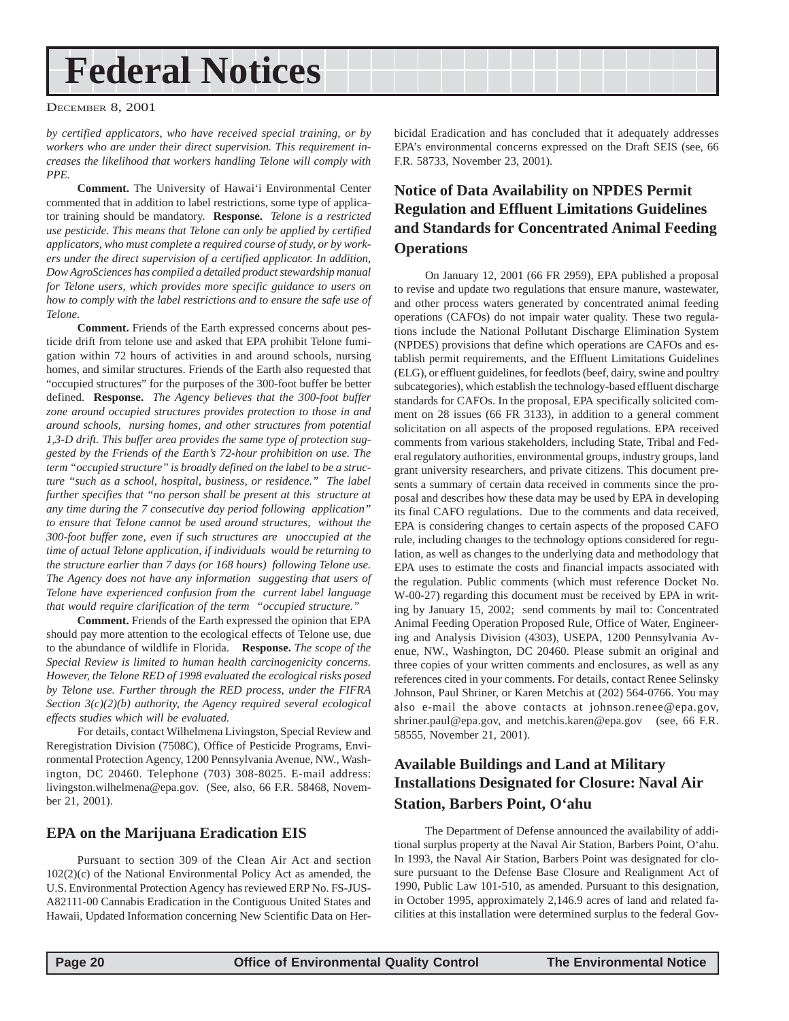## <span id="page-19-0"></span>**Federal Notices**

#### DECEMBER 8, 2001

*by certified applicators, who have received special training, or by workers who are under their direct supervision. This requirement increases the likelihood that workers handling Telone will comply with PPE.*

**Comment.** The University of Hawai'i Environmental Center commented that in addition to label restrictions, some type of applicator training should be mandatory. **Response.** *Telone is a restricted use pesticide. This means that Telone can only be applied by certified applicators, who must complete a required course of study, or by workers under the direct supervision of a certified applicator. In addition, Dow AgroSciences has compiled a detailed product stewardship manual for Telone users, which provides more specific guidance to users on how to comply with the label restrictions and to ensure the safe use of Telone.*

**Comment.** Friends of the Earth expressed concerns about pesticide drift from telone use and asked that EPA prohibit Telone fumigation within 72 hours of activities in and around schools, nursing homes, and similar structures. Friends of the Earth also requested that "occupied structures" for the purposes of the 300-foot buffer be better defined. **Response.** *The Agency believes that the 300-foot buffer zone around occupied structures provides protection to those in and around schools, nursing homes, and other structures from potential 1,3-D drift. This buffer area provides the same type of protection suggested by the Friends of the Earth's 72-hour prohibition on use. The term "occupied structure" is broadly defined on the label to be a structure "such as a school, hospital, business, or residence." The label further specifies that "no person shall be present at this structure at any time during the 7 consecutive day period following application" to ensure that Telone cannot be used around structures, without the 300-foot buffer zone, even if such structures are unoccupied at the time of actual Telone application, if individuals would be returning to the structure earlier than 7 days (or 168 hours) following Telone use. The Agency does not have any information suggesting that users of Telone have experienced confusion from the current label language that would require clarification of the term "occupied structure."*

**Comment.** Friends of the Earth expressed the opinion that EPA should pay more attention to the ecological effects of Telone use, due to the abundance of wildlife in Florida. **Response.** *The scope of the Special Review is limited to human health carcinogenicity concerns. However, the Telone RED of 1998 evaluated the ecological risks posed by Telone use. Further through the RED process, under the FIFRA Section 3(c)(2)(b) authority, the Agency required several ecological effects studies which will be evaluated.*

For details, contact Wilhelmena Livingston, Special Review and Reregistration Division (7508C), Office of Pesticide Programs, Environmental Protection Agency, 1200 Pennsylvania Avenue, NW., Washington, DC 20460. Telephone (703) 308-8025. E-mail address: livingston.wilhelmena@epa.gov. (See, also, 66 F.R. 58468, November 21, 2001).

#### **EPA on the Marijuana Eradication EIS**

Pursuant to section 309 of the Clean Air Act and section 102(2)(c) of the National Environmental Policy Act as amended, the U.S. Environmental Protection Agency has reviewed ERP No. FS-JUS-A82111-00 Cannabis Eradication in the Contiguous United States and Hawaii, Updated Information concerning New Scientific Data on Herbicidal Eradication and has concluded that it adequately addresses EPA's environmental concerns expressed on the Draft SEIS (see, 66 F.R. 58733, November 23, 2001).

#### **Notice of Data Availability on NPDES Permit Regulation and Effluent Limitations Guidelines and Standards for Concentrated Animal Feeding Operations**

On January 12, 2001 (66 FR 2959), EPA published a proposal to revise and update two regulations that ensure manure, wastewater, and other process waters generated by concentrated animal feeding operations (CAFOs) do not impair water quality. These two regulations include the National Pollutant Discharge Elimination System (NPDES) provisions that define which operations are CAFOs and establish permit requirements, and the Effluent Limitations Guidelines (ELG), or effluent guidelines, for feedlots (beef, dairy, swine and poultry subcategories), which establish the technology-based effluent discharge standards for CAFOs. In the proposal, EPA specifically solicited comment on 28 issues (66 FR 3133), in addition to a general comment solicitation on all aspects of the proposed regulations. EPA received comments from various stakeholders, including State, Tribal and Federal regulatory authorities, environmental groups, industry groups, land grant university researchers, and private citizens. This document presents a summary of certain data received in comments since the proposal and describes how these data may be used by EPA in developing its final CAFO regulations. Due to the comments and data received, EPA is considering changes to certain aspects of the proposed CAFO rule, including changes to the technology options considered for regulation, as well as changes to the underlying data and methodology that EPA uses to estimate the costs and financial impacts associated with the regulation. Public comments (which must reference Docket No. W-00-27) regarding this document must be received by EPA in writing by January 15, 2002; send comments by mail to: Concentrated Animal Feeding Operation Proposed Rule, Office of Water, Engineering and Analysis Division (4303), USEPA, 1200 Pennsylvania Avenue, NW., Washington, DC 20460. Please submit an original and three copies of your written comments and enclosures, as well as any references cited in your comments. For details, contact Renee Selinsky Johnson, Paul Shriner, or Karen Metchis at (202) 564-0766. You may also e-mail the above contacts at johnson.renee@epa.gov, shriner.paul@epa.gov, and metchis.karen@epa.gov (see, 66 F.R. 58555, November 21, 2001).

#### **Available Buildings and Land at Military Installations Designated for Closure: Naval Air Station, Barbers Point, O'ahu**

The Department of Defense announced the availability of additional surplus property at the Naval Air Station, Barbers Point, O'ahu. In 1993, the Naval Air Station, Barbers Point was designated for closure pursuant to the Defense Base Closure and Realignment Act of 1990, Public Law 101-510, as amended. Pursuant to this designation, in October 1995, approximately 2,146.9 acres of land and related facilities at this installation were determined surplus to the federal Gov-